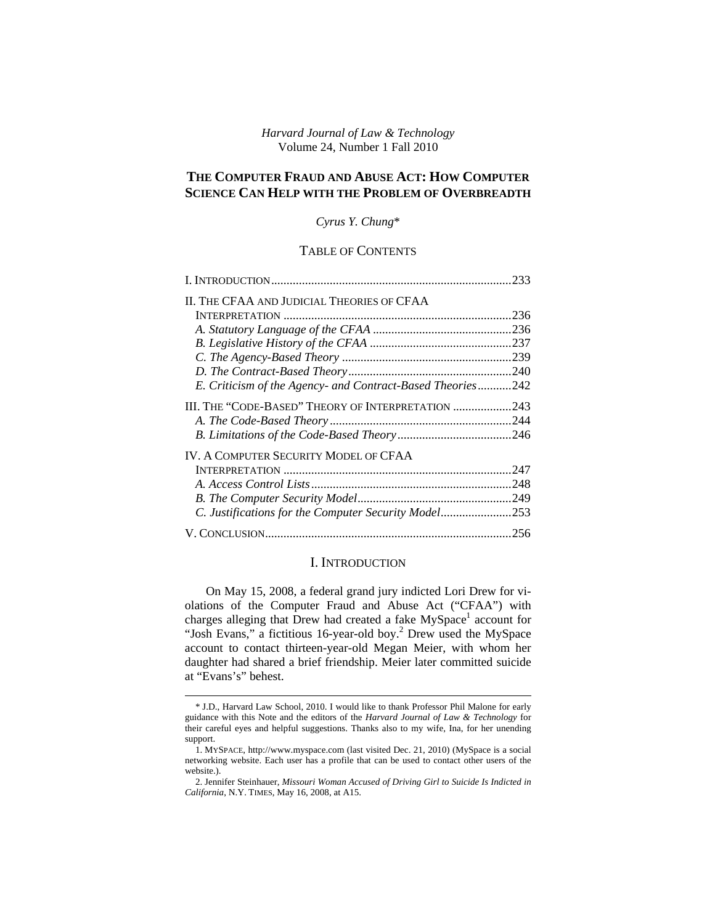*Harvard Journal of Law & Technology*  Volume 24, Number 1 Fall 2010

# **THE COMPUTER FRAUD AND ABUSE ACT: HOW COMPUTER SCIENCE CAN HELP WITH THE PROBLEM OF OVERBREADTH**

*Cyrus Y. Chung*\*

# TABLE OF CONTENTS

|                                                            | .233 |
|------------------------------------------------------------|------|
| II. THE CFAA AND JUDICIAL THEORIES OF CFAA                 |      |
|                                                            | 236  |
|                                                            | .236 |
|                                                            |      |
|                                                            |      |
|                                                            |      |
| E. Criticism of the Agency- and Contract-Based Theories242 |      |
| III. THE "CODE-BASED" THEORY OF INTERPRETATION             | .243 |
|                                                            |      |
|                                                            |      |
| <b>IV. A COMPUTER SECURITY MODEL OF CFAA</b>               |      |
|                                                            | .247 |
|                                                            | .248 |
|                                                            | .249 |
| C. Justifications for the Computer Security Model253       |      |
|                                                            | .256 |

### I. INTRODUCTION

On May 15, 2008, a federal grand jury indicted Lori Drew for violations of the Computer Fraud and Abuse Act ("CFAA") with charges alleging that Drew had created a fake  $MySpace<sup>1</sup>$  account for "Josh Evans," a fictitious 16-year-old boy.<sup>2</sup> Drew used the MySpace account to contact thirteen-year-old Megan Meier, with whom her daughter had shared a brief friendship. Meier later committed suicide at "Evans's" behest.

<sup>\*</sup> J.D., Harvard Law School, 2010. I would like to thank Professor Phil Malone for early guidance with this Note and the editors of the *Harvard Journal of Law & Technology* for their careful eyes and helpful suggestions. Thanks also to my wife, Ina, for her unending support.

<sup>1.</sup> MYSPACE, http://www.myspace.com (last visited Dec. 21, 2010) (MySpace is a social networking website. Each user has a profile that can be used to contact other users of the website.).

<sup>2.</sup> Jennifer Steinhauer, *Missouri Woman Accused of Driving Girl to Suicide Is Indicted in California*, N.Y. TIMES, May 16, 2008, at A15.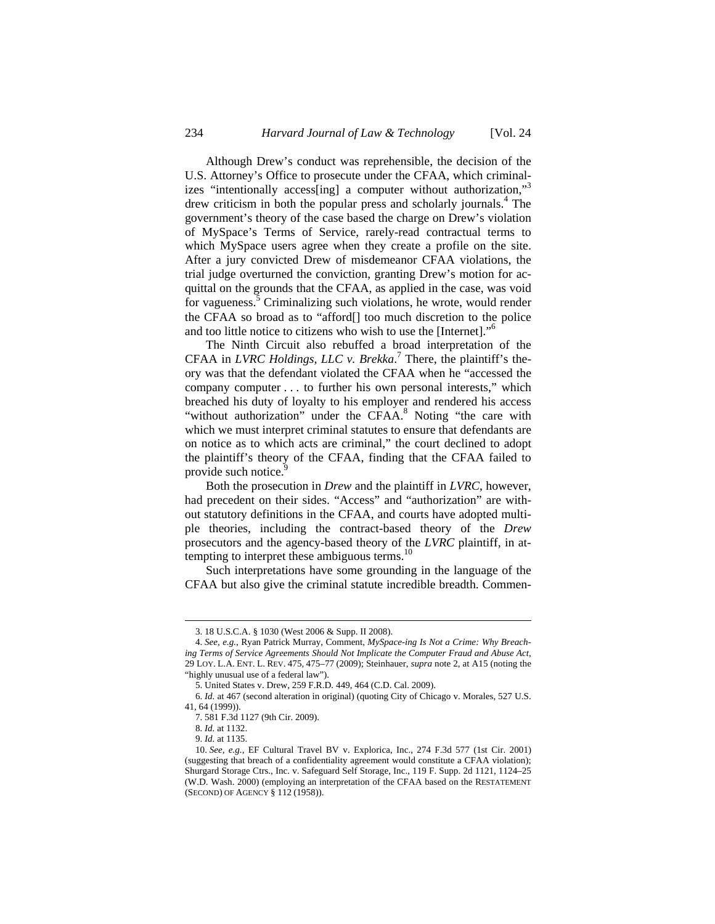Although Drew's conduct was reprehensible, the decision of the U.S. Attorney's Office to prosecute under the CFAA, which criminalizes "intentionally access [ing] a computer without authorization,"<sup>3</sup> drew criticism in both the popular press and scholarly journals.4 The government's theory of the case based the charge on Drew's violation of MySpace's Terms of Service, rarely-read contractual terms to which MySpace users agree when they create a profile on the site. After a jury convicted Drew of misdemeanor CFAA violations, the trial judge overturned the conviction, granting Drew's motion for acquittal on the grounds that the CFAA, as applied in the case, was void for vagueness.<sup>5</sup> Criminalizing such violations, he wrote, would render the CFAA so broad as to "afford[] too much discretion to the police and too little notice to citizens who wish to use the [Internet]."6

The Ninth Circuit also rebuffed a broad interpretation of the CFAA in *LVRC Holdings, LLC v. Brekka*.<sup>7</sup> There, the plaintiff's theory was that the defendant violated the CFAA when he "accessed the company computer . . . to further his own personal interests," which breached his duty of loyalty to his employer and rendered his access "without authorization" under the CFAA.<sup>8</sup> Noting "the care with which we must interpret criminal statutes to ensure that defendants are on notice as to which acts are criminal," the court declined to adopt the plaintiff's theory of the CFAA, finding that the CFAA failed to provide such notice.

Both the prosecution in *Drew* and the plaintiff in *LVRC*, however, had precedent on their sides. "Access" and "authorization" are without statutory definitions in the CFAA, and courts have adopted multiple theories, including the contract-based theory of the *Drew* prosecutors and the agency-based theory of the *LVRC* plaintiff, in attempting to interpret these ambiguous terms. $^{10}$ 

Such interpretations have some grounding in the language of the CFAA but also give the criminal statute incredible breadth. Commen-

<sup>3. 18</sup> U.S.C.A. § 1030 (West 2006 & Supp. II 2008).

<sup>4.</sup> *See, e.g.*, Ryan Patrick Murray, Comment, *MySpace-ing Is Not a Crime: Why Breaching Terms of Service Agreements Should Not Implicate the Computer Fraud and Abuse Act*, 29 LOY. L.A. ENT. L. REV. 475, 475–77 (2009); Steinhauer, *supra* note 2, at A15 (noting the "highly unusual use of a federal law").

<sup>5.</sup> United States v. Drew, 259 F.R.D. 449, 464 (C.D. Cal. 2009).

<sup>6.</sup> *Id.* at 467 (second alteration in original) (quoting City of Chicago v. Morales, 527 U.S. 41, 64 (1999)).

<sup>7. 581</sup> F.3d 1127 (9th Cir. 2009).

<sup>8.</sup> *Id.* at 1132.

<sup>9.</sup> *Id.* at 1135.

<sup>10.</sup> *See, e.g.*, EF Cultural Travel BV v. Explorica, Inc., 274 F.3d 577 (1st Cir. 2001) (suggesting that breach of a confidentiality agreement would constitute a CFAA violation); Shurgard Storage Ctrs., Inc. v. Safeguard Self Storage, Inc., 119 F. Supp. 2d 1121, 1124–25 (W.D. Wash. 2000) (employing an interpretation of the CFAA based on the RESTATEMENT (SECOND) OF AGENCY § 112 (1958)).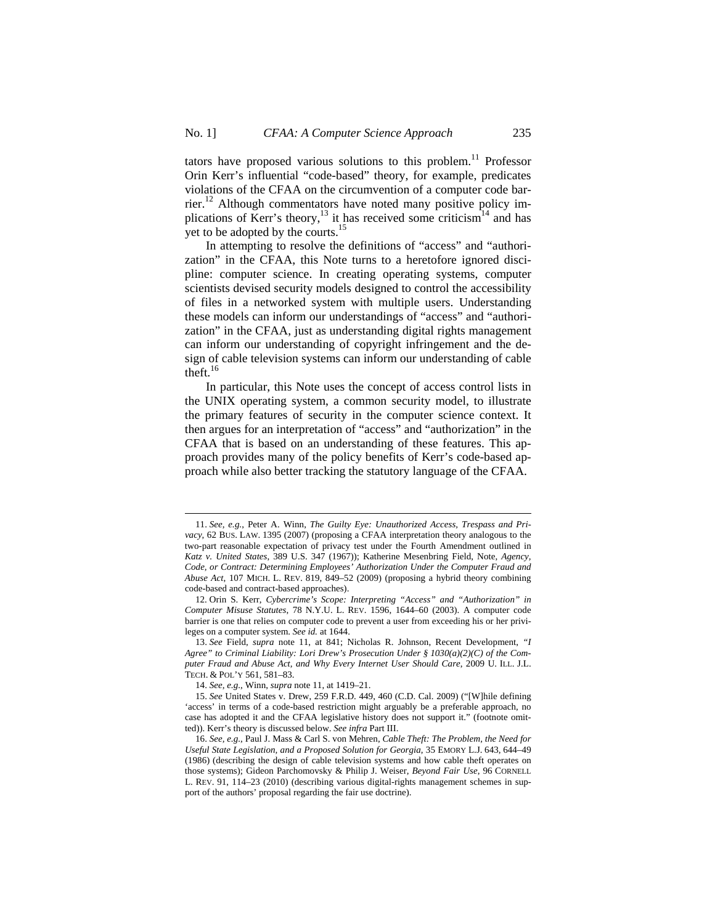tators have proposed various solutions to this problem.<sup>11</sup> Professor Orin Kerr's influential "code-based" theory, for example, predicates violations of the CFAA on the circumvention of a computer code barrier.<sup>12</sup> Although commentators have noted many positive policy implications of Kerr's theory,<sup>13</sup> it has received some criticism<sup>14</sup> and has yet to be adopted by the courts.<sup>15</sup>

In attempting to resolve the definitions of "access" and "authorization" in the CFAA, this Note turns to a heretofore ignored discipline: computer science. In creating operating systems, computer scientists devised security models designed to control the accessibility of files in a networked system with multiple users. Understanding these models can inform our understandings of "access" and "authorization" in the CFAA, just as understanding digital rights management can inform our understanding of copyright infringement and the design of cable television systems can inform our understanding of cable theft.<sup>16</sup>

In particular, this Note uses the concept of access control lists in the UNIX operating system, a common security model, to illustrate the primary features of security in the computer science context. It then argues for an interpretation of "access" and "authorization" in the CFAA that is based on an understanding of these features. This approach provides many of the policy benefits of Kerr's code-based approach while also better tracking the statutory language of the CFAA.

<sup>11.</sup> *See, e.g.*, Peter A. Winn, *The Guilty Eye: Unauthorized Access, Trespass and Privacy*, 62 BUS. LAW. 1395 (2007) (proposing a CFAA interpretation theory analogous to the two-part reasonable expectation of privacy test under the Fourth Amendment outlined in *Katz v. United States*, 389 U.S. 347 (1967)); Katherine Mesenbring Field, Note, *Agency, Code, or Contract: Determining Employees' Authorization Under the Computer Fraud and Abuse Act*, 107 MICH. L. REV. 819, 849–52 (2009) (proposing a hybrid theory combining code-based and contract-based approaches).

<sup>12.</sup> Orin S. Kerr, *Cybercrime's Scope: Interpreting "Access" and "Authorization" in Computer Misuse Statutes*, 78 N.Y.U. L. REV. 1596, 1644–60 (2003). A computer code barrier is one that relies on computer code to prevent a user from exceeding his or her privileges on a computer system. *See id.* at 1644.

<sup>13.</sup> *See* Field, *supra* note 11, at 841; Nicholas R. Johnson, Recent Development, *"I Agree" to Criminal Liability: Lori Drew's Prosecution Under § 1030(a)(2)(C) of the Computer Fraud and Abuse Act, and Why Every Internet User Should Care*, 2009 U. ILL. J.L. TECH. & POL'Y 561, 581–83.

<sup>14.</sup> *See, e.g.*, Winn, *supra* note 11, at 1419–21.

<sup>15.</sup> *See* United States v. Drew, 259 F.R.D. 449, 460 (C.D. Cal. 2009) ("[W]hile defining 'access' in terms of a code-based restriction might arguably be a preferable approach, no case has adopted it and the CFAA legislative history does not support it." (footnote omitted)). Kerr's theory is discussed below. *See infra* Part III.

<sup>16.</sup> *See, e.g.*, Paul J. Mass & Carl S. von Mehren, *Cable Theft: The Problem, the Need for Useful State Legislation, and a Proposed Solution for Georgia*, 35 EMORY L.J. 643, 644–49 (1986) (describing the design of cable television systems and how cable theft operates on those systems); Gideon Parchomovsky & Philip J. Weiser, *Beyond Fair Use*, 96 CORNELL L. REV. 91, 114–23 (2010) (describing various digital-rights management schemes in support of the authors' proposal regarding the fair use doctrine).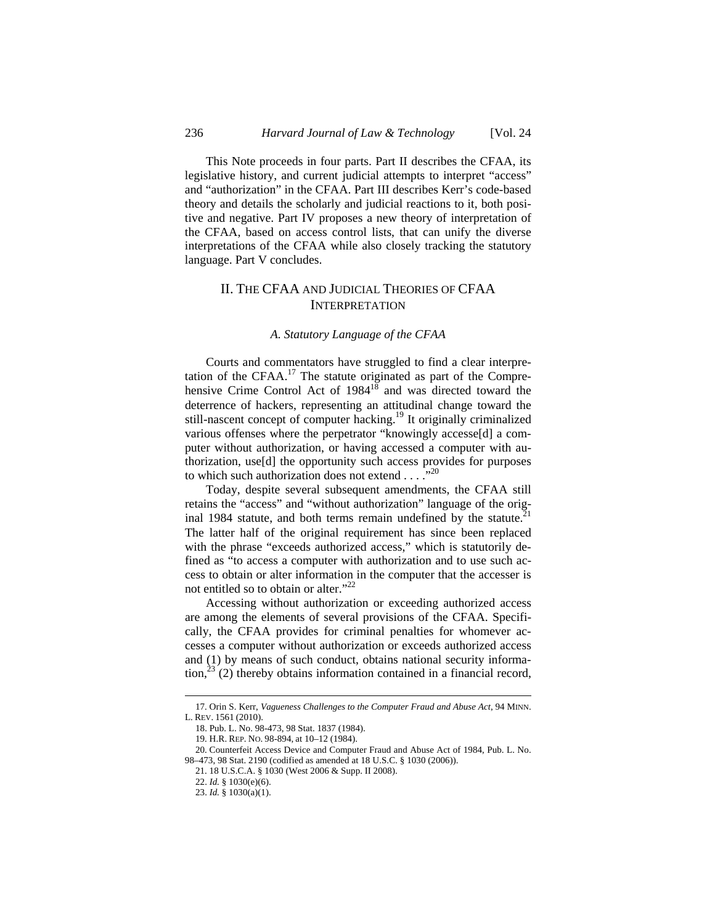This Note proceeds in four parts. Part II describes the CFAA, its legislative history, and current judicial attempts to interpret "access" and "authorization" in the CFAA. Part III describes Kerr's code-based theory and details the scholarly and judicial reactions to it, both positive and negative. Part IV proposes a new theory of interpretation of the CFAA, based on access control lists, that can unify the diverse interpretations of the CFAA while also closely tracking the statutory language. Part V concludes.

# II. THE CFAA AND JUDICIAL THEORIES OF CFAA INTERPRETATION

### *A. Statutory Language of the CFAA*

Courts and commentators have struggled to find a clear interpretation of the CFAA. $17$  The statute originated as part of the Comprehensive Crime Control Act of  $1984<sup>18</sup>$  and was directed toward the deterrence of hackers, representing an attitudinal change toward the still-nascent concept of computer hacking.<sup>19</sup> It originally criminalized various offenses where the perpetrator "knowingly accesse[d] a computer without authorization, or having accessed a computer with authorization, use[d] the opportunity such access provides for purposes to which such authorization does not extend  $\dots$  ...<sup>20</sup>

Today, despite several subsequent amendments, the CFAA still retains the "access" and "without authorization" language of the original 1984 statute, and both terms remain undefined by the statute. $21$ The latter half of the original requirement has since been replaced with the phrase "exceeds authorized access," which is statutorily defined as "to access a computer with authorization and to use such access to obtain or alter information in the computer that the accesser is not entitled so to obtain or alter."<sup>22</sup>

Accessing without authorization or exceeding authorized access are among the elements of several provisions of the CFAA. Specifically, the CFAA provides for criminal penalties for whomever accesses a computer without authorization or exceeds authorized access and (1) by means of such conduct, obtains national security information, $^{23}$  (2) thereby obtains information contained in a financial record,

22. *Id.* § 1030(e)(6).

<sup>17.</sup> Orin S. Kerr, *Vagueness Challenges to the Computer Fraud and Abuse Act*, 94 MINN. L. REV. 1561 (2010).

<sup>18.</sup> Pub. L. No. 98-473, 98 Stat. 1837 (1984).

<sup>19.</sup> H.R. REP. NO. 98-894, at 10–12 (1984).

<sup>20.</sup> Counterfeit Access Device and Computer Fraud and Abuse Act of 1984, Pub. L. No. 98–473, 98 Stat. 2190 (codified as amended at 18 U.S.C. § 1030 (2006)).

<sup>21. 18</sup> U.S.C.A. § 1030 (West 2006 & Supp. II 2008).

<sup>23.</sup> *Id.* § 1030(a)(1).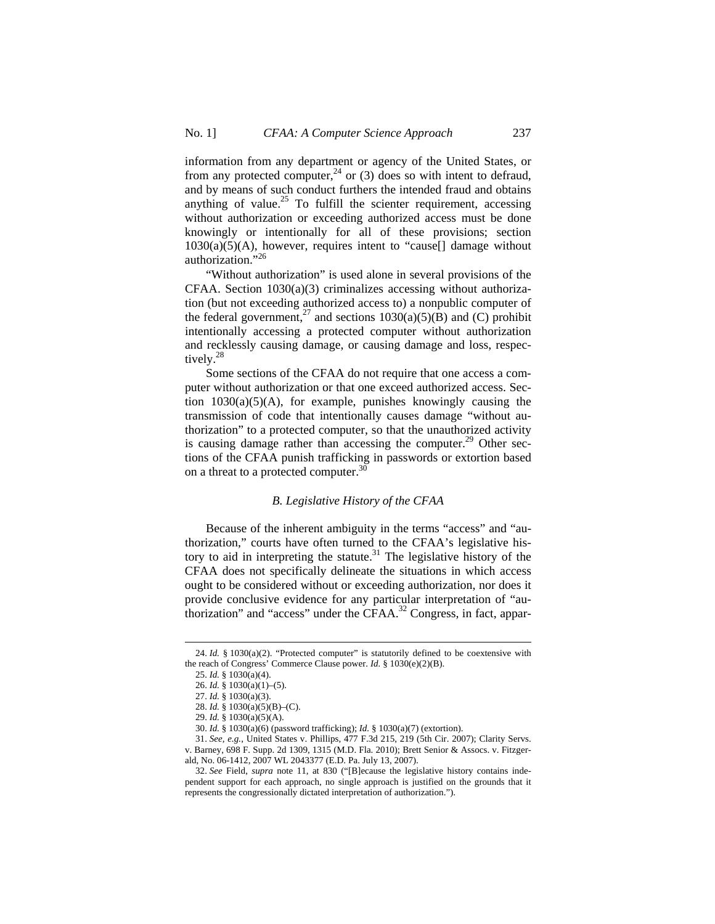information from any department or agency of the United States, or from any protected computer,<sup>24</sup> or (3) does so with intent to defraud, and by means of such conduct furthers the intended fraud and obtains anything of value.<sup>25</sup> To fulfill the scienter requirement, accessing without authorization or exceeding authorized access must be done knowingly or intentionally for all of these provisions; section  $1030(a)(5)(A)$ , however, requires intent to "cause<sup>[]</sup> damage without authorization."26

"Without authorization" is used alone in several provisions of the CFAA. Section 1030(a)(3) criminalizes accessing without authorization (but not exceeding authorized access to) a nonpublic computer of the federal government,<sup>27</sup> and sections  $1030(a)(5)(\overline{B})$  and (C) prohibit intentionally accessing a protected computer without authorization and recklessly causing damage, or causing damage and loss, respectively.<sup>28</sup>

Some sections of the CFAA do not require that one access a computer without authorization or that one exceed authorized access. Section 1030(a)(5)(A), for example, punishes knowingly causing the transmission of code that intentionally causes damage "without authorization" to a protected computer, so that the unauthorized activity is causing damage rather than accessing the computer.<sup>29</sup> Other sections of the CFAA punish trafficking in passwords or extortion based on a threat to a protected computer.<sup>30</sup>

## *B. Legislative History of the CFAA*

Because of the inherent ambiguity in the terms "access" and "authorization," courts have often turned to the CFAA's legislative history to aid in interpreting the statute.<sup>31</sup> The legislative history of the CFAA does not specifically delineate the situations in which access ought to be considered without or exceeding authorization, nor does it provide conclusive evidence for any particular interpretation of "authorization" and "access" under the CFAA.<sup>32</sup> Congress, in fact, appar-

<sup>24.</sup> *Id.* § 1030(a)(2). "Protected computer" is statutorily defined to be coextensive with the reach of Congress' Commerce Clause power. *Id.* § 1030(e)(2)(B).

<sup>25.</sup> *Id.* § 1030(a)(4).

<sup>26.</sup> *Id.* § 1030(a)(1)–(5).

<sup>27.</sup> *Id.* § 1030(a)(3).

<sup>28.</sup> *Id.* § 1030(a)(5)(B)–(C).

<sup>29.</sup> *Id.* § 1030(a)(5)(A).

<sup>30.</sup> *Id.* § 1030(a)(6) (password trafficking); *Id.* § 1030(a)(7) (extortion).

<sup>31.</sup> *See, e.g.*, United States v. Phillips, 477 F.3d 215, 219 (5th Cir. 2007); Clarity Servs. v. Barney, 698 F. Supp. 2d 1309, 1315 (M.D. Fla. 2010); Brett Senior & Assocs. v. Fitzgerald, No. 06-1412, 2007 WL 2043377 (E.D. Pa. July 13, 2007).

<sup>32.</sup> *See* Field, *supra* note 11, at 830 ("[B]ecause the legislative history contains independent support for each approach, no single approach is justified on the grounds that it represents the congressionally dictated interpretation of authorization.").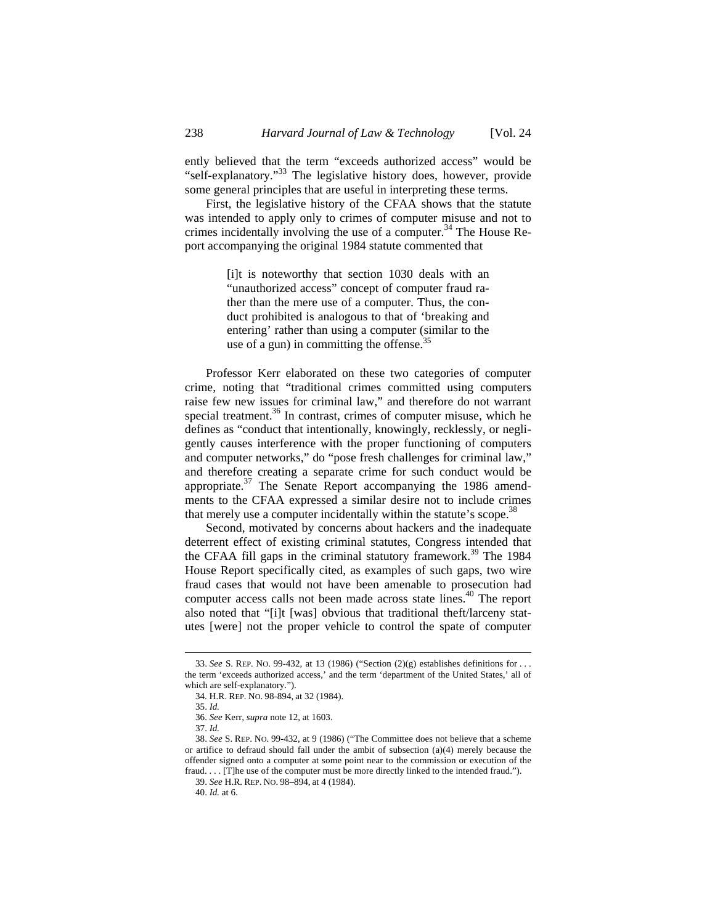ently believed that the term "exceeds authorized access" would be "self-explanatory."<sup>33</sup> The legislative history does, however, provide some general principles that are useful in interpreting these terms.

First, the legislative history of the CFAA shows that the statute was intended to apply only to crimes of computer misuse and not to crimes incidentally involving the use of a computer.<sup>34</sup> The House Report accompanying the original 1984 statute commented that

> [i]t is noteworthy that section 1030 deals with an "unauthorized access" concept of computer fraud rather than the mere use of a computer. Thus, the conduct prohibited is analogous to that of 'breaking and entering' rather than using a computer (similar to the use of a gun) in committing the offense. $35$

Professor Kerr elaborated on these two categories of computer crime, noting that "traditional crimes committed using computers raise few new issues for criminal law," and therefore do not warrant special treatment.<sup>36</sup> In contrast, crimes of computer misuse, which he defines as "conduct that intentionally, knowingly, recklessly, or negligently causes interference with the proper functioning of computers and computer networks," do "pose fresh challenges for criminal law," and therefore creating a separate crime for such conduct would be appropriate. $37$  The Senate Report accompanying the 1986 amendments to the CFAA expressed a similar desire not to include crimes that merely use a computer incidentally within the statute's scope.<sup>38</sup>

Second, motivated by concerns about hackers and the inadequate deterrent effect of existing criminal statutes, Congress intended that the CFAA fill gaps in the criminal statutory framework.<sup>39</sup> The 1984 House Report specifically cited, as examples of such gaps, two wire fraud cases that would not have been amenable to prosecution had computer access calls not been made across state lines.<sup>40</sup> The report also noted that "[i]t [was] obvious that traditional theft/larceny statutes [were] not the proper vehicle to control the spate of computer

<sup>33.</sup> *See* S. REP. NO. 99-432, at 13 (1986) ("Section (2)(g) establishes definitions for . . . the term 'exceeds authorized access,' and the term 'department of the United States,' all of which are self-explanatory.").

<sup>34.</sup> H.R. REP. NO. 98-894, at 32 (1984).

<sup>35.</sup> *Id.* 

<sup>36.</sup> *See* Kerr, *supra* note 12, at 1603.

<sup>37.</sup> *Id.* 

<sup>38.</sup> *See* S. REP. NO. 99-432, at 9 (1986) ("The Committee does not believe that a scheme or artifice to defraud should fall under the ambit of subsection (a)(4) merely because the offender signed onto a computer at some point near to the commission or execution of the fraud. . . . [T]he use of the computer must be more directly linked to the intended fraud.").

<sup>39.</sup> *See* H.R. REP. NO. 98–894, at 4 (1984).

<sup>40.</sup> *Id.* at 6.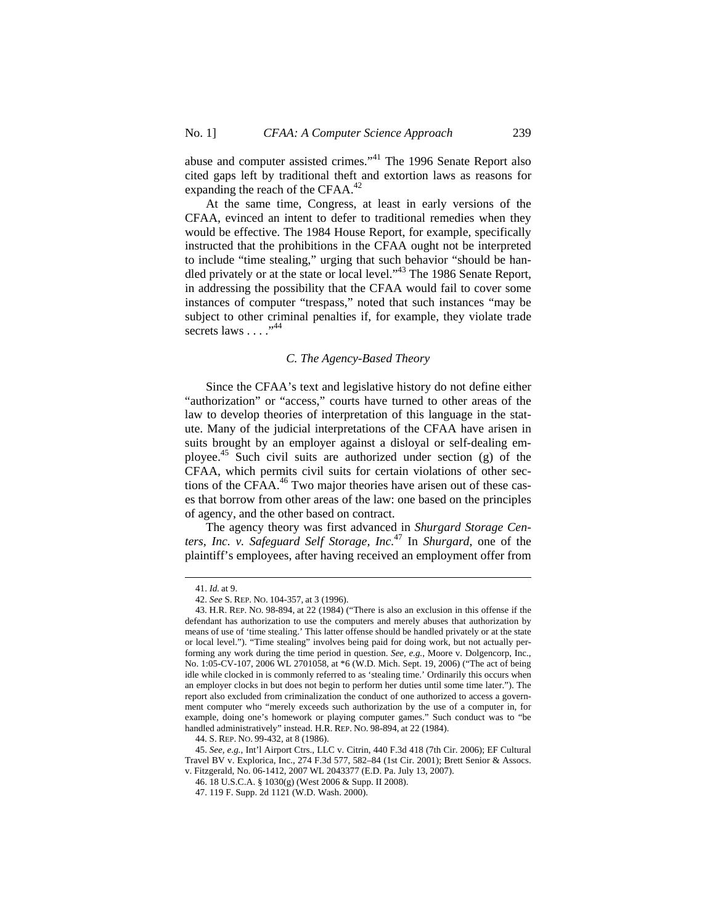abuse and computer assisted crimes."41 The 1996 Senate Report also cited gaps left by traditional theft and extortion laws as reasons for expanding the reach of the CFAA.<sup>42</sup>

At the same time, Congress, at least in early versions of the CFAA, evinced an intent to defer to traditional remedies when they would be effective. The 1984 House Report, for example, specifically instructed that the prohibitions in the CFAA ought not be interpreted to include "time stealing," urging that such behavior "should be handled privately or at the state or local level."<sup>43</sup> The 1986 Senate Report, in addressing the possibility that the CFAA would fail to cover some instances of computer "trespass," noted that such instances "may be subject to other criminal penalties if, for example, they violate trade secrets laws  $\ldots$ <sup>.,44</sup>

### *C. The Agency-Based Theory*

Since the CFAA's text and legislative history do not define either "authorization" or "access," courts have turned to other areas of the law to develop theories of interpretation of this language in the statute. Many of the judicial interpretations of the CFAA have arisen in suits brought by an employer against a disloyal or self-dealing employee.<sup>45</sup> Such civil suits are authorized under section (g) of the CFAA, which permits civil suits for certain violations of other sections of the CFAA.<sup>46</sup> Two major theories have arisen out of these cases that borrow from other areas of the law: one based on the principles of agency, and the other based on contract.

The agency theory was first advanced in *Shurgard Storage Centers, Inc. v. Safeguard Self Storage, Inc.*47 In *Shurgard*, one of the plaintiff's employees, after having received an employment offer from

<sup>41.</sup> *Id.* at 9.

<sup>42.</sup> *See* S. REP. NO. 104-357, at 3 (1996).

<sup>43.</sup> H.R. REP. NO. 98-894, at 22 (1984) ("There is also an exclusion in this offense if the defendant has authorization to use the computers and merely abuses that authorization by means of use of 'time stealing.' This latter offense should be handled privately or at the state or local level."). "Time stealing" involves being paid for doing work, but not actually performing any work during the time period in question. *See, e.g.*, Moore v. Dolgencorp, Inc., No. 1:05-CV-107, 2006 WL 2701058, at \*6 (W.D. Mich. Sept. 19, 2006) ("The act of being idle while clocked in is commonly referred to as 'stealing time.' Ordinarily this occurs when an employer clocks in but does not begin to perform her duties until some time later."). The report also excluded from criminalization the conduct of one authorized to access a government computer who "merely exceeds such authorization by the use of a computer in, for example, doing one's homework or playing computer games." Such conduct was to "be handled administratively" instead. H.R. REP. NO. 98-894, at 22 (1984).

<sup>44.</sup> S. REP. NO. 99-432, at 8 (1986).

<sup>45.</sup> *See, e.g.*, Int'l Airport Ctrs., LLC v. Citrin, 440 F.3d 418 (7th Cir. 2006); EF Cultural Travel BV v. Explorica, Inc., 274 F.3d 577, 582–84 (1st Cir. 2001); Brett Senior & Assocs. v. Fitzgerald, No. 06-1412, 2007 WL 2043377 (E.D. Pa. July 13, 2007).

<sup>46. 18</sup> U.S.C.A. § 1030(g) (West 2006 & Supp. II 2008).

<sup>47. 119</sup> F. Supp. 2d 1121 (W.D. Wash. 2000).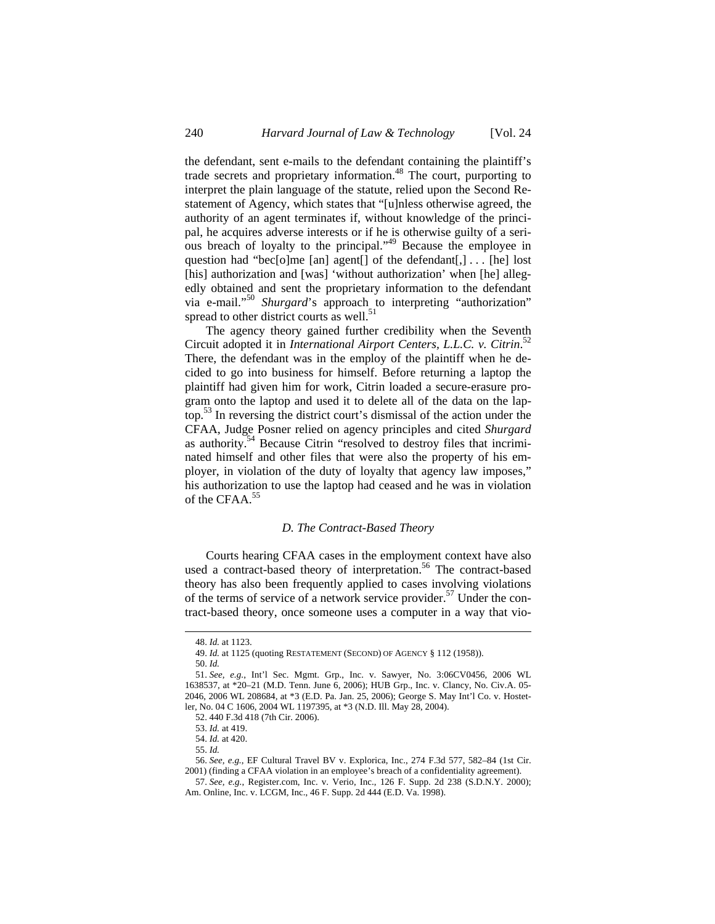the defendant, sent e-mails to the defendant containing the plaintiff's trade secrets and proprietary information.<sup>48</sup> The court, purporting to interpret the plain language of the statute, relied upon the Second Restatement of Agency, which states that "[u]nless otherwise agreed, the authority of an agent terminates if, without knowledge of the principal, he acquires adverse interests or if he is otherwise guilty of a serious breach of loyalty to the principal."49 Because the employee in question had "bec[o]me [an] agent[] of the defendant[,] . . . [he] lost [his] authorization and [was] 'without authorization' when [he] allegedly obtained and sent the proprietary information to the defendant via e-mail."<sup>50</sup> *Shurgard*'s approach to interpreting "authorization" spread to other district courts as well. $51$ 

The agency theory gained further credibility when the Seventh Circuit adopted it in *International Airport Centers, L.L.C. v. Citrin*. 52 There, the defendant was in the employ of the plaintiff when he decided to go into business for himself. Before returning a laptop the plaintiff had given him for work, Citrin loaded a secure-erasure program onto the laptop and used it to delete all of the data on the laptop.53 In reversing the district court's dismissal of the action under the CFAA, Judge Posner relied on agency principles and cited *Shurgard* as authority.54 Because Citrin "resolved to destroy files that incriminated himself and other files that were also the property of his employer, in violation of the duty of loyalty that agency law imposes," his authorization to use the laptop had ceased and he was in violation of the CFAA.<sup>55</sup>

## *D. The Contract-Based Theory*

Courts hearing CFAA cases in the employment context have also used a contract-based theory of interpretation.<sup>56</sup> The contract-based theory has also been frequently applied to cases involving violations of the terms of service of a network service provider.<sup>57</sup> Under the contract-based theory, once someone uses a computer in a way that vio-

<sup>48.</sup> *Id.* at 1123.

<sup>49.</sup> *Id.* at 1125 (quoting RESTATEMENT (SECOND) OF AGENCY § 112 (1958)).

<sup>50.</sup> *Id.*

<sup>51.</sup> *See, e.g.*, Int'l Sec. Mgmt. Grp., Inc. v. Sawyer, No. 3:06CV0456, 2006 WL 1638537, at \*20–21 (M.D. Tenn. June 6, 2006); HUB Grp., Inc. v. Clancy, No. Civ.A. 05- 2046, 2006 WL 208684, at \*3 (E.D. Pa. Jan. 25, 2006); George S. May Int'l Co. v. Hostetler, No. 04 C 1606, 2004 WL 1197395, at \*3 (N.D. Ill. May 28, 2004).

<sup>52. 440</sup> F.3d 418 (7th Cir. 2006).

<sup>53.</sup> *Id.* at 419.

<sup>54.</sup> *Id.* at 420.

<sup>55.</sup> *Id.*

<sup>56.</sup> *See, e.g.*, EF Cultural Travel BV v. Explorica, Inc., 274 F.3d 577, 582–84 (1st Cir. 2001) (finding a CFAA violation in an employee's breach of a confidentiality agreement).

<sup>57.</sup> *See, e.g.*, Register.com, Inc. v. Verio, Inc., 126 F. Supp. 2d 238 (S.D.N.Y. 2000); Am. Online, Inc. v. LCGM, Inc., 46 F. Supp. 2d 444 (E.D. Va. 1998).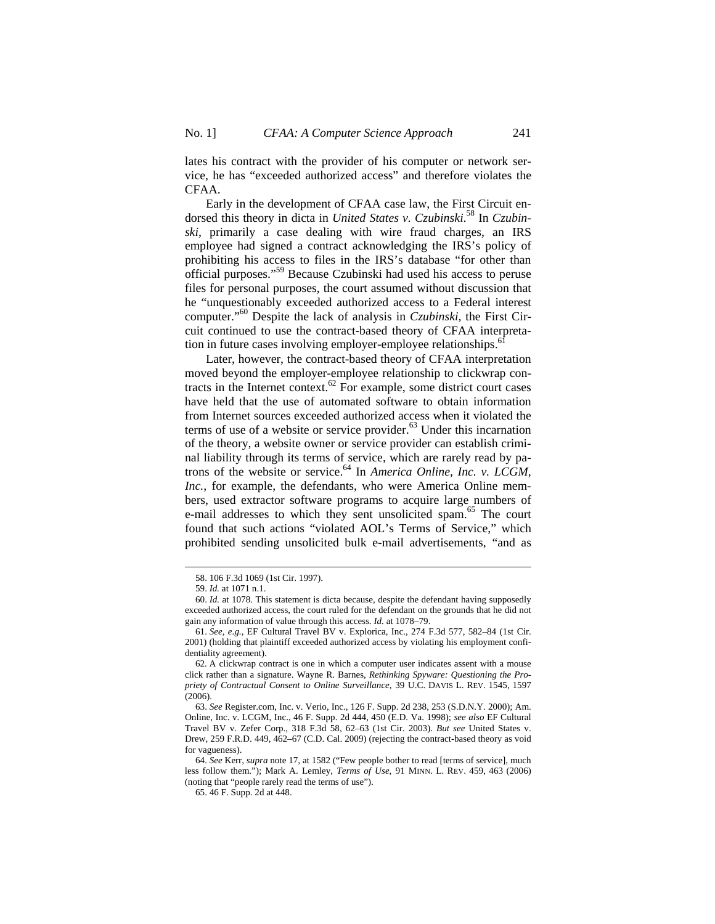lates his contract with the provider of his computer or network service, he has "exceeded authorized access" and therefore violates the CFAA.

Early in the development of CFAA case law, the First Circuit endorsed this theory in dicta in *United States v. Czubinski*. 58 In *Czubinski*, primarily a case dealing with wire fraud charges, an IRS employee had signed a contract acknowledging the IRS's policy of prohibiting his access to files in the IRS's database "for other than official purposes."59 Because Czubinski had used his access to peruse files for personal purposes, the court assumed without discussion that he "unquestionably exceeded authorized access to a Federal interest computer."60 Despite the lack of analysis in *Czubinski*, the First Circuit continued to use the contract-based theory of CFAA interpretation in future cases involving employer-employee relationships.<sup>61</sup>

Later, however, the contract-based theory of CFAA interpretation moved beyond the employer-employee relationship to clickwrap contracts in the Internet context. $62$  For example, some district court cases have held that the use of automated software to obtain information from Internet sources exceeded authorized access when it violated the terms of use of a website or service provider. $63$  Under this incarnation of the theory, a website owner or service provider can establish criminal liability through its terms of service, which are rarely read by patrons of the website or service.64 In *America Online, Inc. v. LCGM, Inc.*, for example, the defendants, who were America Online members, used extractor software programs to acquire large numbers of e-mail addresses to which they sent unsolicited spam.<sup>65</sup> The court found that such actions "violated AOL's Terms of Service," which prohibited sending unsolicited bulk e-mail advertisements, "and as

<sup>58. 106</sup> F.3d 1069 (1st Cir. 1997).

<sup>59.</sup> *Id.* at 1071 n.1.

<sup>60.</sup> *Id.* at 1078. This statement is dicta because, despite the defendant having supposedly exceeded authorized access, the court ruled for the defendant on the grounds that he did not gain any information of value through this access. *Id.* at 1078–79.

<sup>61.</sup> *See, e.g.*, EF Cultural Travel BV v. Explorica, Inc., 274 F.3d 577, 582–84 (1st Cir. 2001) (holding that plaintiff exceeded authorized access by violating his employment confidentiality agreement).

<sup>62.</sup> A clickwrap contract is one in which a computer user indicates assent with a mouse click rather than a signature. Wayne R. Barnes, *Rethinking Spyware: Questioning the Propriety of Contractual Consent to Online Surveillance*, 39 U.C. DAVIS L. REV. 1545, 1597 (2006).

<sup>63.</sup> *See* Register.com, Inc. v. Verio, Inc., 126 F. Supp. 2d 238, 253 (S.D.N.Y. 2000); Am. Online, Inc. v. LCGM, Inc., 46 F. Supp. 2d 444, 450 (E.D. Va. 1998); *see also* EF Cultural Travel BV v. Zefer Corp., 318 F.3d 58, 62–63 (1st Cir. 2003). *But see* United States v. Drew, 259 F.R.D. 449, 462-67 (C.D. Cal. 2009) (rejecting the contract-based theory as void for vagueness).

<sup>64.</sup> *See* Kerr, *supra* note 17, at 1582 ("Few people bother to read [terms of service], much less follow them."); Mark A. Lemley, *Terms of Use*, 91 MINN. L. REV. 459, 463 (2006) (noting that "people rarely read the terms of use").

<sup>65. 46</sup> F. Supp. 2d at 448.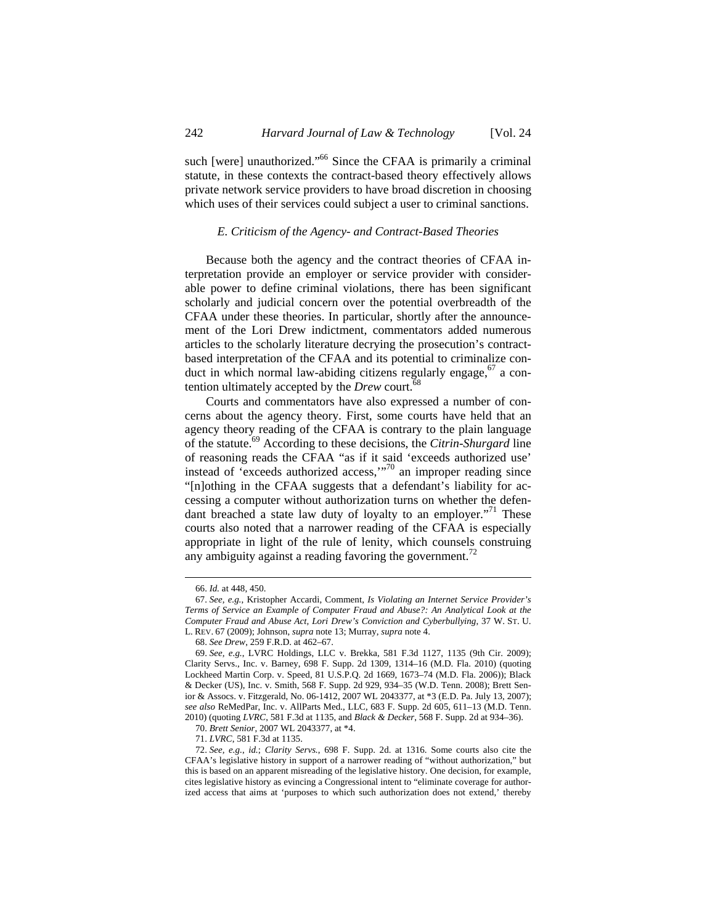such [were] unauthorized."<sup>66</sup> Since the CFAA is primarily a criminal statute, in these contexts the contract-based theory effectively allows private network service providers to have broad discretion in choosing which uses of their services could subject a user to criminal sanctions.

## *E. Criticism of the Agency- and Contract-Based Theories*

Because both the agency and the contract theories of CFAA interpretation provide an employer or service provider with considerable power to define criminal violations, there has been significant scholarly and judicial concern over the potential overbreadth of the CFAA under these theories. In particular, shortly after the announcement of the Lori Drew indictment, commentators added numerous articles to the scholarly literature decrying the prosecution's contractbased interpretation of the CFAA and its potential to criminalize conduct in which normal law-abiding citizens regularly engage,  $67$  a contention ultimately accepted by the *Drew* court.<sup>68</sup>

Courts and commentators have also expressed a number of concerns about the agency theory. First, some courts have held that an agency theory reading of the CFAA is contrary to the plain language of the statute.69 According to these decisions, the *Citrin-Shurgard* line of reasoning reads the CFAA "as if it said 'exceeds authorized use' instead of 'exceeds authorized access,'"<sup>70</sup> an improper reading since "[n]othing in the CFAA suggests that a defendant's liability for accessing a computer without authorization turns on whether the defendant breached a state law duty of loyalty to an employer."<sup>71</sup> These courts also noted that a narrower reading of the CFAA is especially appropriate in light of the rule of lenity, which counsels construing any ambiguity against a reading favoring the government.<sup>72</sup>

<sup>66.</sup> *Id.* at 448, 450.

<sup>67.</sup> *See, e.g.*, Kristopher Accardi, Comment, *Is Violating an Internet Service Provider's Terms of Service an Example of Computer Fraud and Abuse?: An Analytical Look at the Computer Fraud and Abuse Act, Lori Drew's Conviction and Cyberbullying*, 37 W. ST. U. L. REV. 67 (2009); Johnson, *supra* note 13; Murray, *supra* note 4.

<sup>68.</sup> *See Drew*, 259 F.R.D. at 462–67.

<sup>69.</sup> *See, e.g.*, LVRC Holdings, LLC v. Brekka, 581 F.3d 1127, 1135 (9th Cir. 2009); Clarity Servs., Inc. v. Barney, 698 F. Supp. 2d 1309, 1314–16 (M.D. Fla. 2010) (quoting Lockheed Martin Corp. v. Speed, 81 U.S.P.Q. 2d 1669, 1673–74 (M.D. Fla. 2006)); Black & Decker (US), Inc. v. Smith, 568 F. Supp. 2d 929, 934–35 (W.D. Tenn. 2008); Brett Senior & Assocs. v. Fitzgerald, No. 06-1412, 2007 WL 2043377, at \*3 (E.D. Pa. July 13, 2007); *see also* ReMedPar, Inc. v. AllParts Med., LLC, 683 F. Supp. 2d 605, 611–13 (M.D. Tenn. 2010) (quoting *LVRC*, 581 F.3d at 1135, and *Black & Decker*, 568 F. Supp. 2d at 934–36).

<sup>70.</sup> *Brett Senior*, 2007 WL 2043377, at \*4.

<sup>71.</sup> *LVRC*, 581 F.3d at 1135.

<sup>72.</sup> *See, e.g.*, *id.*; *Clarity Servs.*, 698 F. Supp. 2d. at 1316. Some courts also cite the CFAA's legislative history in support of a narrower reading of "without authorization," but this is based on an apparent misreading of the legislative history. One decision, for example, cites legislative history as evincing a Congressional intent to "eliminate coverage for authorized access that aims at 'purposes to which such authorization does not extend,' thereby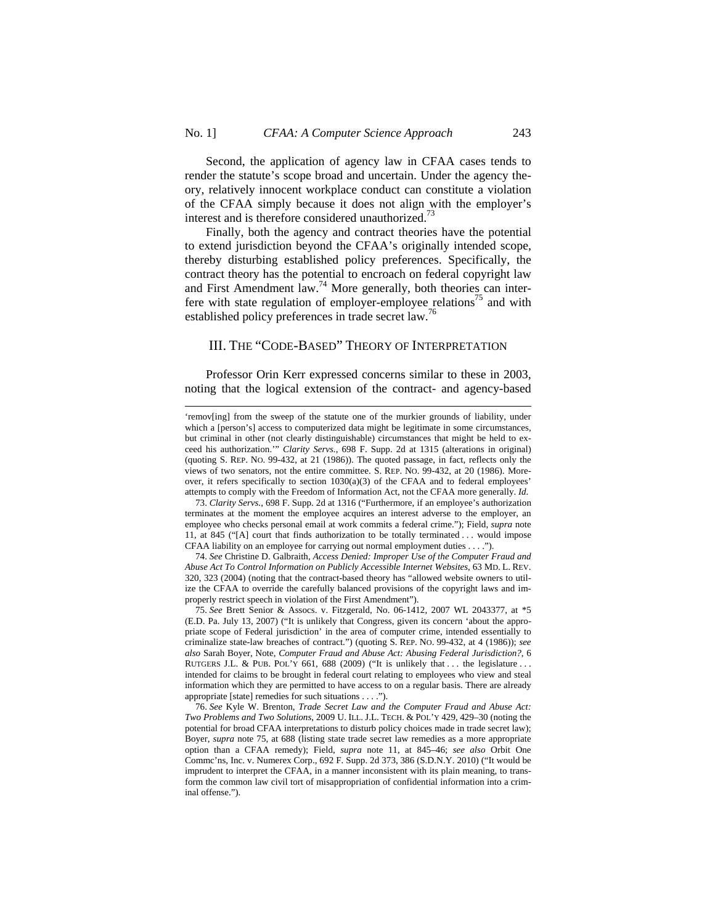Second, the application of agency law in CFAA cases tends to render the statute's scope broad and uncertain. Under the agency theory, relatively innocent workplace conduct can constitute a violation of the CFAA simply because it does not align with the employer's interest and is therefore considered unauthorized.<sup>73</sup>

Finally, both the agency and contract theories have the potential to extend jurisdiction beyond the CFAA's originally intended scope, thereby disturbing established policy preferences. Specifically, the contract theory has the potential to encroach on federal copyright law and First Amendment law.<sup>74</sup> More generally, both theories can interfere with state regulation of employer-employee relations<sup>75</sup> and with established policy preferences in trade secret law.76

# III. THE "CODE-BASED" THEORY OF INTERPRETATION

Professor Orin Kerr expressed concerns similar to these in 2003, noting that the logical extension of the contract- and agency-based

<sup>&#</sup>x27;remov[ing] from the sweep of the statute one of the murkier grounds of liability, under which a [person's] access to computerized data might be legitimate in some circumstances, but criminal in other (not clearly distinguishable) circumstances that might be held to exceed his authorization.'" *Clarity Servs.*, 698 F. Supp. 2d at 1315 (alterations in original) (quoting S. REP. NO. 99-432, at 21 (1986)). The quoted passage, in fact, reflects only the views of two senators, not the entire committee. S. REP. NO. 99-432, at 20 (1986). Moreover, it refers specifically to section  $1030(a)(3)$  of the CFAA and to federal employees' attempts to comply with the Freedom of Information Act, not the CFAA more generally. *Id*.

<sup>73.</sup> *Clarity Servs.*, 698 F. Supp. 2d at 1316 ("Furthermore, if an employee's authorization terminates at the moment the employee acquires an interest adverse to the employer, an employee who checks personal email at work commits a federal crime."); Field, *supra* note 11, at 845 ("[A] court that finds authorization to be totally terminated . . . would impose CFAA liability on an employee for carrying out normal employment duties . . . .").

<sup>74.</sup> *See* Christine D. Galbraith, *Access Denied: Improper Use of the Computer Fraud and Abuse Act To Control Information on Publicly Accessible Internet Websites*, 63 MD. L. REV. 320, 323 (2004) (noting that the contract-based theory has "allowed website owners to utilize the CFAA to override the carefully balanced provisions of the copyright laws and improperly restrict speech in violation of the First Amendment").

<sup>75.</sup> *See* Brett Senior & Assocs. v. Fitzgerald, No. 06-1412, 2007 WL 2043377, at \*5 (E.D. Pa. July 13, 2007) ("It is unlikely that Congress, given its concern 'about the appropriate scope of Federal jurisdiction' in the area of computer crime, intended essentially to criminalize state-law breaches of contract.") (quoting S. REP. NO. 99-432, at 4 (1986)); *see also* Sarah Boyer, Note, *Computer Fraud and Abuse Act: Abusing Federal Jurisdiction?*, 6 RUTGERS J.L. & PUB. POL'Y 661, 688 (2009) ("It is unlikely that  $\dots$  the legislature  $\dots$ intended for claims to be brought in federal court relating to employees who view and steal information which they are permitted to have access to on a regular basis. There are already appropriate [state] remedies for such situations . . . .").

<sup>76.</sup> *See* Kyle W. Brenton, *Trade Secret Law and the Computer Fraud and Abuse Act: Two Problems and Two Solutions*, 2009 U. ILL. J.L. TECH. & POL'Y 429, 429–30 (noting the potential for broad CFAA interpretations to disturb policy choices made in trade secret law); Boyer, *supra* note 75, at 688 (listing state trade secret law remedies as a more appropriate option than a CFAA remedy); Field, *supra* note 11, at 845–46; *see also* Orbit One Commc'ns, Inc. v. Numerex Corp., 692 F. Supp. 2d 373, 386 (S.D.N.Y. 2010) ("It would be imprudent to interpret the CFAA, in a manner inconsistent with its plain meaning, to transform the common law civil tort of misappropriation of confidential information into a criminal offense.").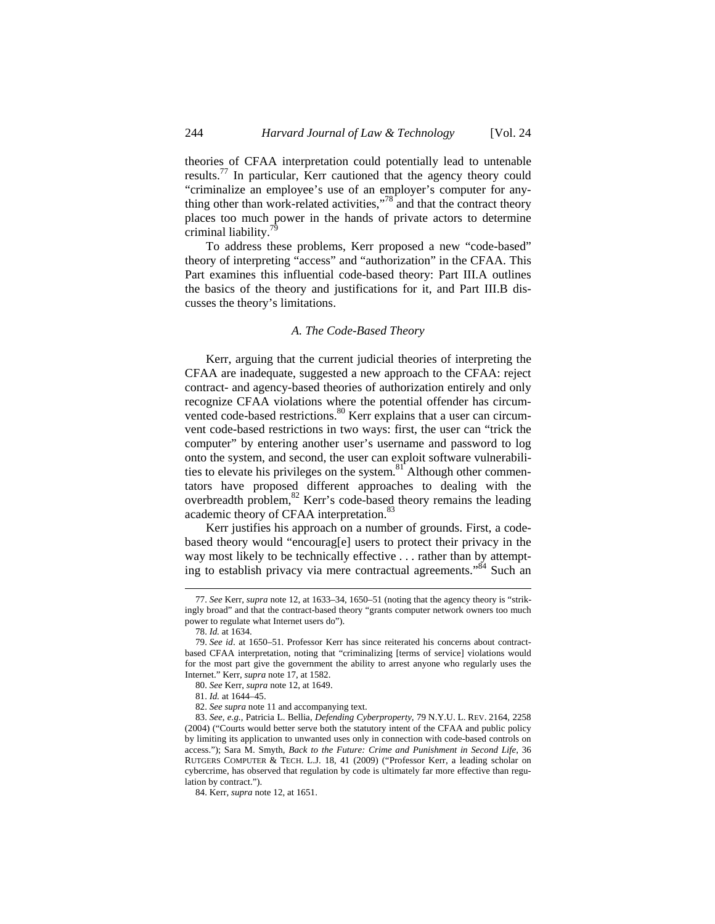theories of CFAA interpretation could potentially lead to untenable results.<sup>77</sup> In particular, Kerr cautioned that the agency theory could "criminalize an employee's use of an employer's computer for anything other than work-related activities,"<sup>78</sup> and that the contract theory places too much power in the hands of private actors to determine criminal liability.<sup>7</sup>

To address these problems, Kerr proposed a new "code-based" theory of interpreting "access" and "authorization" in the CFAA. This Part examines this influential code-based theory: Part III.A outlines the basics of the theory and justifications for it, and Part III.B discusses the theory's limitations.

### *A. The Code-Based Theory*

Kerr, arguing that the current judicial theories of interpreting the CFAA are inadequate, suggested a new approach to the CFAA: reject contract- and agency-based theories of authorization entirely and only recognize CFAA violations where the potential offender has circumvented code-based restrictions.<sup>80</sup> Kerr explains that a user can circumvent code-based restrictions in two ways: first, the user can "trick the computer" by entering another user's username and password to log onto the system, and second, the user can exploit software vulnerabilities to elevate his privileges on the system. $81$ <sup>T</sup> Although other commentators have proposed different approaches to dealing with the overbreadth problem,<sup>82</sup> Kerr's code-based theory remains the leading academic theory of CFAA interpretation.<sup>83</sup>

Kerr justifies his approach on a number of grounds. First, a codebased theory would "encourag[e] users to protect their privacy in the way most likely to be technically effective . . . rather than by attempting to establish privacy via mere contractual agreements."<sup>84</sup> Such an

 $\overline{a}$ 

82. *See supra* note 11 and accompanying text.

<sup>77.</sup> *See* Kerr, *supra* note 12, at 1633–34, 1650–51 (noting that the agency theory is "strikingly broad" and that the contract-based theory "grants computer network owners too much power to regulate what Internet users do").

<sup>78.</sup> *Id.* at 1634.

<sup>79.</sup> *See id*. at 1650–51. Professor Kerr has since reiterated his concerns about contractbased CFAA interpretation, noting that "criminalizing [terms of service] violations would for the most part give the government the ability to arrest anyone who regularly uses the Internet." Kerr, *supra* note 17, at 1582.

<sup>80.</sup> *See* Kerr, *supra* note 12, at 1649.

<sup>81.</sup> *Id.* at 1644–45.

<sup>83.</sup> *See, e.g.*, Patricia L. Bellia, *Defending Cyberproperty*, 79 N.Y.U. L. REV. 2164, 2258 (2004) ("Courts would better serve both the statutory intent of the CFAA and public policy by limiting its application to unwanted uses only in connection with code-based controls on access."); Sara M. Smyth, *Back to the Future: Crime and Punishment in Second Life*, 36 RUTGERS COMPUTER & TECH. L.J. 18, 41 (2009) ("Professor Kerr, a leading scholar on cybercrime, has observed that regulation by code is ultimately far more effective than regulation by contract.").

<sup>84.</sup> Kerr, *supra* note 12, at 1651.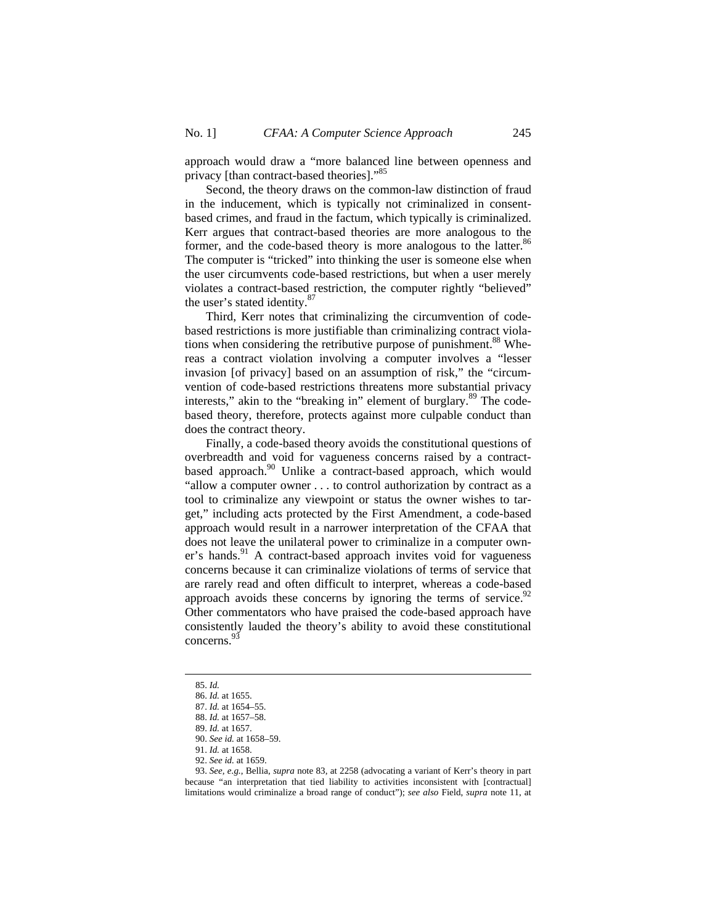approach would draw a "more balanced line between openness and privacy [than contract-based theories]."<sup>85</sup>

Second, the theory draws on the common-law distinction of fraud in the inducement, which is typically not criminalized in consentbased crimes, and fraud in the factum, which typically is criminalized. Kerr argues that contract-based theories are more analogous to the former, and the code-based theory is more analogous to the latter.<sup>86</sup> The computer is "tricked" into thinking the user is someone else when the user circumvents code-based restrictions, but when a user merely violates a contract-based restriction, the computer rightly "believed" the user's stated identity.<sup>87</sup>

Third, Kerr notes that criminalizing the circumvention of codebased restrictions is more justifiable than criminalizing contract violations when considering the retributive purpose of punishment.<sup>88</sup> Whereas a contract violation involving a computer involves a "lesser invasion [of privacy] based on an assumption of risk," the "circumvention of code-based restrictions threatens more substantial privacy interests," akin to the "breaking in" element of burglary.<sup>89</sup> The codebased theory, therefore, protects against more culpable conduct than does the contract theory.

Finally, a code-based theory avoids the constitutional questions of overbreadth and void for vagueness concerns raised by a contractbased approach.<sup>90</sup> Unlike a contract-based approach, which would "allow a computer owner . . . to control authorization by contract as a tool to criminalize any viewpoint or status the owner wishes to target," including acts protected by the First Amendment, a code-based approach would result in a narrower interpretation of the CFAA that does not leave the unilateral power to criminalize in a computer owner's hands. $91$  A contract-based approach invites void for vagueness concerns because it can criminalize violations of terms of service that are rarely read and often difficult to interpret, whereas a code-based approach avoids these concerns by ignoring the terms of service.  $92$ Other commentators who have praised the code-based approach have consistently lauded the theory's ability to avoid these constitutional concerns.93

<sup>85.</sup> *Id.* 

<sup>86.</sup> *Id.* at 1655.

<sup>87.</sup> *Id.* at 1654–55.

<sup>88.</sup> *Id.* at 1657–58.

<sup>89.</sup> *Id.* at 1657.

<sup>90.</sup> *See id.* at 1658–59.

<sup>91.</sup> *Id.* at 1658.

<sup>92.</sup> *See id.* at 1659.

<sup>93.</sup> *See, e.g.*, Bellia, *supra* note 83, at 2258 (advocating a variant of Kerr's theory in part because "an interpretation that tied liability to activities inconsistent with [contractual] limitations would criminalize a broad range of conduct"); *see also* Field, *supra* note 11, at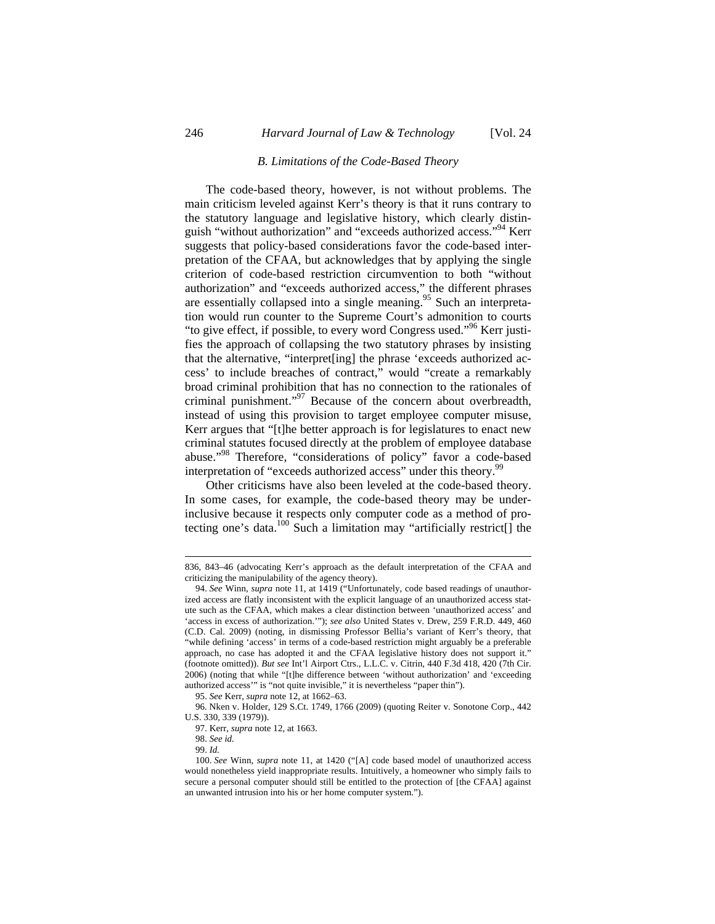### *B. Limitations of the Code-Based Theory*

The code-based theory, however, is not without problems. The main criticism leveled against Kerr's theory is that it runs contrary to the statutory language and legislative history, which clearly distinguish "without authorization" and "exceeds authorized access."<sup>94</sup> Kerr suggests that policy-based considerations favor the code-based interpretation of the CFAA, but acknowledges that by applying the single criterion of code-based restriction circumvention to both "without authorization" and "exceeds authorized access," the different phrases are essentially collapsed into a single meaning.<sup>95</sup> Such an interpretation would run counter to the Supreme Court's admonition to courts "to give effect, if possible, to every word Congress used."<sup>96</sup> Kerr justifies the approach of collapsing the two statutory phrases by insisting that the alternative, "interpret[ing] the phrase 'exceeds authorized access' to include breaches of contract," would "create a remarkably broad criminal prohibition that has no connection to the rationales of criminal punishment."97 Because of the concern about overbreadth, instead of using this provision to target employee computer misuse, Kerr argues that "[t]he better approach is for legislatures to enact new criminal statutes focused directly at the problem of employee database abuse."98 Therefore, "considerations of policy" favor a code-based interpretation of "exceeds authorized access" under this theory.<sup>99</sup>

Other criticisms have also been leveled at the code-based theory. In some cases, for example, the code-based theory may be underinclusive because it respects only computer code as a method of protecting one's data.<sup>100</sup> Such a limitation may "artificially restrict<sup>[]</sup> the

<sup>836, 843–46 (</sup>advocating Kerr's approach as the default interpretation of the CFAA and criticizing the manipulability of the agency theory).

<sup>94.</sup> *See* Winn, *supra* note 11, at 1419 ("Unfortunately, code based readings of unauthorized access are flatly inconsistent with the explicit language of an unauthorized access statute such as the CFAA, which makes a clear distinction between 'unauthorized access' and 'access in excess of authorization.'"); *see also* United States v. Drew, 259 F.R.D. 449, 460 (C.D. Cal. 2009) (noting, in dismissing Professor Bellia's variant of Kerr's theory, that "while defining 'access' in terms of a code-based restriction might arguably be a preferable approach, no case has adopted it and the CFAA legislative history does not support it." (footnote omitted)). *But see* Int'l Airport Ctrs., L.L.C. v. Citrin, 440 F.3d 418, 420 (7th Cir. 2006) (noting that while "[t]he difference between 'without authorization' and 'exceeding authorized access'" is "not quite invisible," it is nevertheless "paper thin").

<sup>95.</sup> *See* Kerr, *supra* note 12, at 1662–63.

<sup>96.</sup> Nken v. Holder, 129 S.Ct. 1749, 1766 (2009) (quoting Reiter v. Sonotone Corp., 442 U.S. 330, 339 (1979)).

<sup>97.</sup> Kerr, *supra* note 12, at 1663.

<sup>98.</sup> *See id.* 

<sup>99.</sup> *Id.* 

<sup>100.</sup> *See* Winn, *supra* note 11, at 1420 ("[A] code based model of unauthorized access would nonetheless yield inappropriate results. Intuitively, a homeowner who simply fails to secure a personal computer should still be entitled to the protection of [the CFAA] against an unwanted intrusion into his or her home computer system.").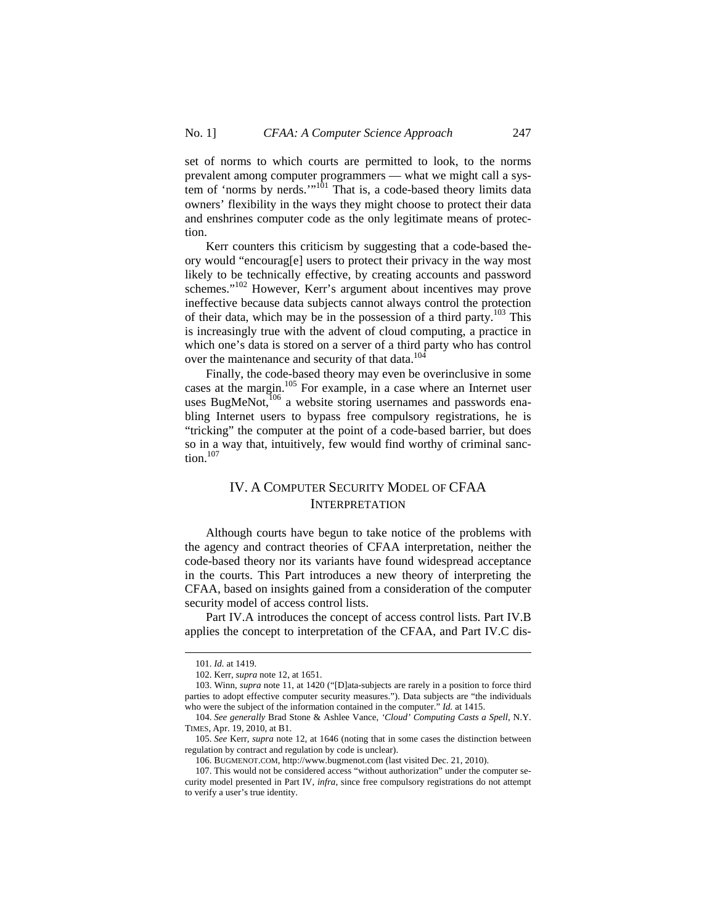set of norms to which courts are permitted to look, to the norms prevalent among computer programmers — what we might call a system of 'norms by nerds.'"<sup>101</sup> That is, a code-based theory limits data owners' flexibility in the ways they might choose to protect their data and enshrines computer code as the only legitimate means of protection.

Kerr counters this criticism by suggesting that a code-based theory would "encourag[e] users to protect their privacy in the way most likely to be technically effective, by creating accounts and password schemes."102 However, Kerr's argument about incentives may prove ineffective because data subjects cannot always control the protection of their data, which may be in the possession of a third party.<sup>103</sup> This is increasingly true with the advent of cloud computing, a practice in which one's data is stored on a server of a third party who has control over the maintenance and security of that data.<sup>104</sup>

Finally, the code-based theory may even be overinclusive in some cases at the margin.<sup>105</sup> For example, in a case where an Internet user uses BugMeNot, $106$  a website storing usernames and passwords enabling Internet users to bypass free compulsory registrations, he is "tricking" the computer at the point of a code-based barrier, but does so in a way that, intuitively, few would find worthy of criminal sanction. $107$ 

# IV. A COMPUTER SECURITY MODEL OF CFAA INTERPRETATION

Although courts have begun to take notice of the problems with the agency and contract theories of CFAA interpretation, neither the code-based theory nor its variants have found widespread acceptance in the courts. This Part introduces a new theory of interpreting the CFAA, based on insights gained from a consideration of the computer security model of access control lists.

Part IV.A introduces the concept of access control lists. Part IV.B applies the concept to interpretation of the CFAA, and Part IV.C dis-

<sup>101.</sup> *Id.* at 1419.

<sup>102.</sup> Kerr, *supra* note 12, at 1651.

<sup>103.</sup> Winn, *supra* note 11, at 1420 ("[D]ata-subjects are rarely in a position to force third parties to adopt effective computer security measures."). Data subjects are "the individuals who were the subject of the information contained in the computer." *Id.* at 1415.

<sup>104.</sup> *See generally* Brad Stone & Ashlee Vance, *'Cloud' Computing Casts a Spell*, N.Y. TIMES, Apr. 19, 2010, at B1.

<sup>105.</sup> *See* Kerr, *supra* note 12, at 1646 (noting that in some cases the distinction between regulation by contract and regulation by code is unclear).

<sup>106.</sup> BUGMENOT.COM, http://www.bugmenot.com (last visited Dec. 21, 2010).

<sup>107.</sup> This would not be considered access "without authorization" under the computer security model presented in Part IV, *infra*, since free compulsory registrations do not attempt to verify a user's true identity.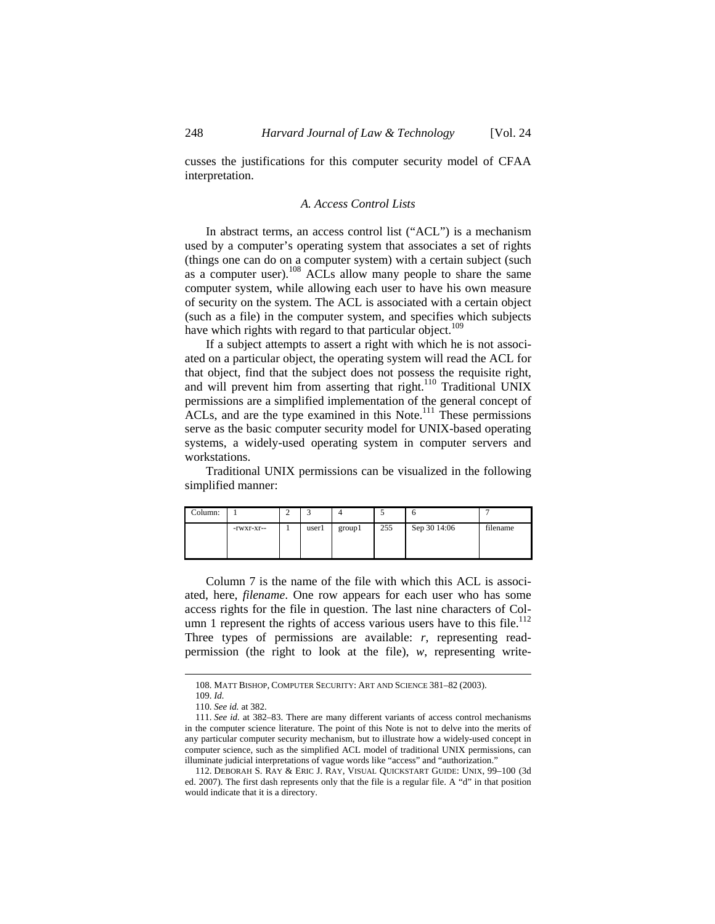cusses the justifications for this computer security model of CFAA interpretation.

### *A. Access Control Lists*

In abstract terms, an access control list ("ACL") is a mechanism used by a computer's operating system that associates a set of rights (things one can do on a computer system) with a certain subject (such as a computer user).<sup>108</sup> ACLs allow many people to share the same computer system, while allowing each user to have his own measure of security on the system. The ACL is associated with a certain object (such as a file) in the computer system, and specifies which subjects have which rights with regard to that particular object.<sup>109</sup>

If a subject attempts to assert a right with which he is not associated on a particular object, the operating system will read the ACL for that object, find that the subject does not possess the requisite right, and will prevent him from asserting that right.<sup>110</sup> Traditional UNIX permissions are a simplified implementation of the general concept of ACLs, and are the type examined in this Note.<sup>111</sup> These permissions serve as the basic computer security model for UNIX-based operating systems, a widely-used operating system in computer servers and workstations.

Traditional UNIX permissions can be visualized in the following simplified manner:

| Column: |            |       |        |     |              |          |
|---------|------------|-------|--------|-----|--------------|----------|
|         | -rwxr-xr-- | user1 | group1 | 255 | Sep 30 14:06 | filename |

Column 7 is the name of the file with which this ACL is associated, here, *filename*. One row appears for each user who has some access rights for the file in question. The last nine characters of Column 1 represent the rights of access various users have to this file.<sup>112</sup> Three types of permissions are available: *r*, representing readpermission (the right to look at the file), *w*, representing write-

<sup>108.</sup> MATT BISHOP, COMPUTER SECURITY: ART AND SCIENCE 381–82 (2003).

<sup>109.</sup> *Id.* 

<sup>110.</sup> *See id.* at 382.

<sup>111.</sup> *See id.* at 382–83. There are many different variants of access control mechanisms in the computer science literature. The point of this Note is not to delve into the merits of any particular computer security mechanism, but to illustrate how a widely-used concept in computer science, such as the simplified ACL model of traditional UNIX permissions, can illuminate judicial interpretations of vague words like "access" and "authorization."

<sup>112.</sup> DEBORAH S. RAY & ERIC J. RAY, VISUAL QUICKSTART GUIDE: UNIX, 99–100 (3d ed. 2007). The first dash represents only that the file is a regular file. A "d" in that position would indicate that it is a directory.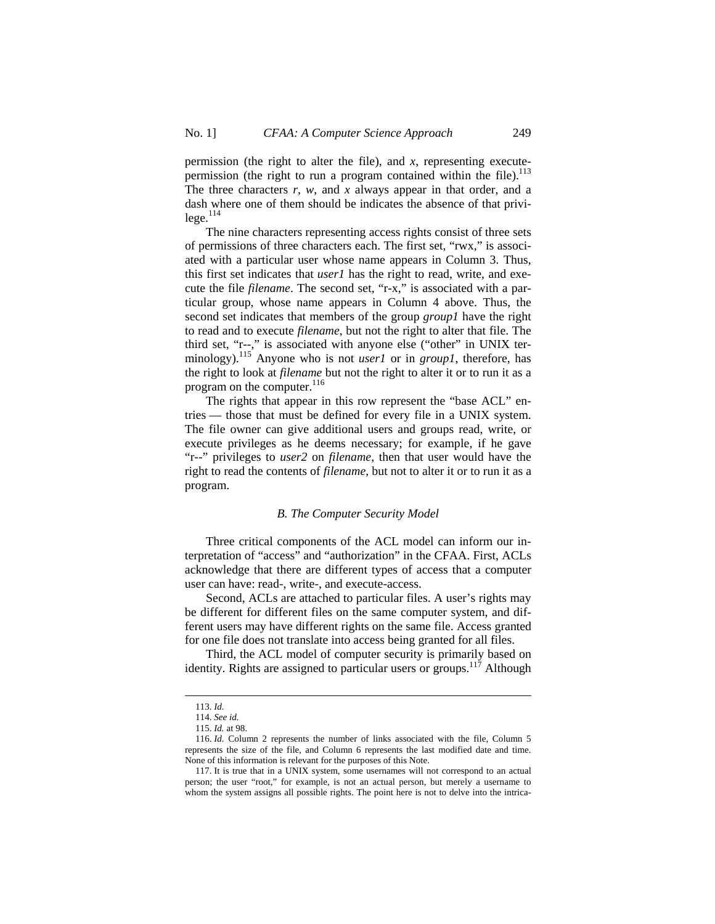permission (the right to alter the file), and *x*, representing executepermission (the right to run a program contained within the file).<sup>113</sup> The three characters *r*, *w*, and *x* always appear in that order, and a dash where one of them should be indicates the absence of that privi $lege.<sup>114</sup>$ 

The nine characters representing access rights consist of three sets of permissions of three characters each. The first set, "rwx," is associated with a particular user whose name appears in Column 3. Thus, this first set indicates that *user1* has the right to read, write, and execute the file *filename*. The second set, "r-x," is associated with a particular group, whose name appears in Column 4 above. Thus, the second set indicates that members of the group *group1* have the right to read and to execute *filename*, but not the right to alter that file. The third set, "r--," is associated with anyone else ("other" in UNIX terminology).<sup>115</sup> Anyone who is not *user1* or in *group1*, therefore, has the right to look at *filename* but not the right to alter it or to run it as a program on the computer.<sup>116</sup>

The rights that appear in this row represent the "base ACL" entries — those that must be defined for every file in a UNIX system. The file owner can give additional users and groups read, write, or execute privileges as he deems necessary; for example, if he gave "r--" privileges to *user2* on *filename*, then that user would have the right to read the contents of *filename*, but not to alter it or to run it as a program.

#### *B. The Computer Security Model*

Three critical components of the ACL model can inform our interpretation of "access" and "authorization" in the CFAA. First, ACLs acknowledge that there are different types of access that a computer user can have: read-, write-, and execute-access.

Second, ACLs are attached to particular files. A user's rights may be different for different files on the same computer system, and different users may have different rights on the same file. Access granted for one file does not translate into access being granted for all files.

Third, the ACL model of computer security is primarily based on identity. Rights are assigned to particular users or groups.<sup>117</sup> Although

<sup>113.</sup> *Id.* 

<sup>114.</sup> *See id.* 

<sup>115.</sup> *Id.* at 98.

<sup>116.</sup> *Id.* Column 2 represents the number of links associated with the file, Column 5 represents the size of the file, and Column 6 represents the last modified date and time. None of this information is relevant for the purposes of this Note.

<sup>117.</sup> It is true that in a UNIX system, some usernames will not correspond to an actual person; the user "root," for example, is not an actual person, but merely a username to whom the system assigns all possible rights. The point here is not to delve into the intrica-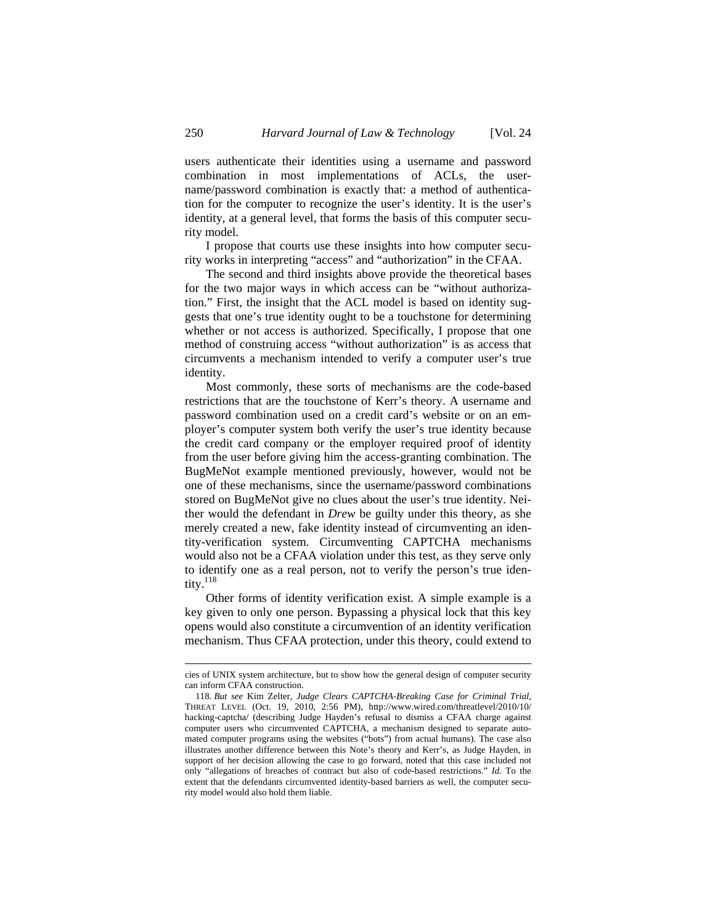users authenticate their identities using a username and password combination in most implementations of ACLs, the username/password combination is exactly that: a method of authentication for the computer to recognize the user's identity. It is the user's identity, at a general level, that forms the basis of this computer security model.

I propose that courts use these insights into how computer security works in interpreting "access" and "authorization" in the CFAA.

The second and third insights above provide the theoretical bases for the two major ways in which access can be "without authorization." First, the insight that the ACL model is based on identity suggests that one's true identity ought to be a touchstone for determining whether or not access is authorized. Specifically, I propose that one method of construing access "without authorization" is as access that circumvents a mechanism intended to verify a computer user's true identity.

Most commonly, these sorts of mechanisms are the code-based restrictions that are the touchstone of Kerr's theory. A username and password combination used on a credit card's website or on an employer's computer system both verify the user's true identity because the credit card company or the employer required proof of identity from the user before giving him the access-granting combination. The BugMeNot example mentioned previously, however, would not be one of these mechanisms, since the username/password combinations stored on BugMeNot give no clues about the user's true identity. Neither would the defendant in *Drew* be guilty under this theory, as she merely created a new, fake identity instead of circumventing an identity-verification system. Circumventing CAPTCHA mechanisms would also not be a CFAA violation under this test, as they serve only to identify one as a real person, not to verify the person's true identity.<sup>118</sup>

Other forms of identity verification exist. A simple example is a key given to only one person. Bypassing a physical lock that this key opens would also constitute a circumvention of an identity verification mechanism. Thus CFAA protection, under this theory, could extend to

cies of UNIX system architecture, but to show how the general design of computer security can inform CFAA construction.

<sup>118.</sup> *But see* Kim Zelter, *Judge Clears CAPTCHA-Breaking Case for Criminal Trial*, THREAT LEVEL (Oct. 19, 2010, 2:56 PM), http://www.wired.com/threatlevel/2010/10/ hacking-captcha/ (describing Judge Hayden's refusal to dismiss a CFAA charge against computer users who circumvented CAPTCHA, a mechanism designed to separate automated computer programs using the websites ("bots") from actual humans). The case also illustrates another difference between this Note's theory and Kerr's, as Judge Hayden, in support of her decision allowing the case to go forward, noted that this case included not only "allegations of breaches of contract but also of code-based restrictions." *Id.* To the extent that the defendants circumvented identity-based barriers as well, the computer security model would also hold them liable.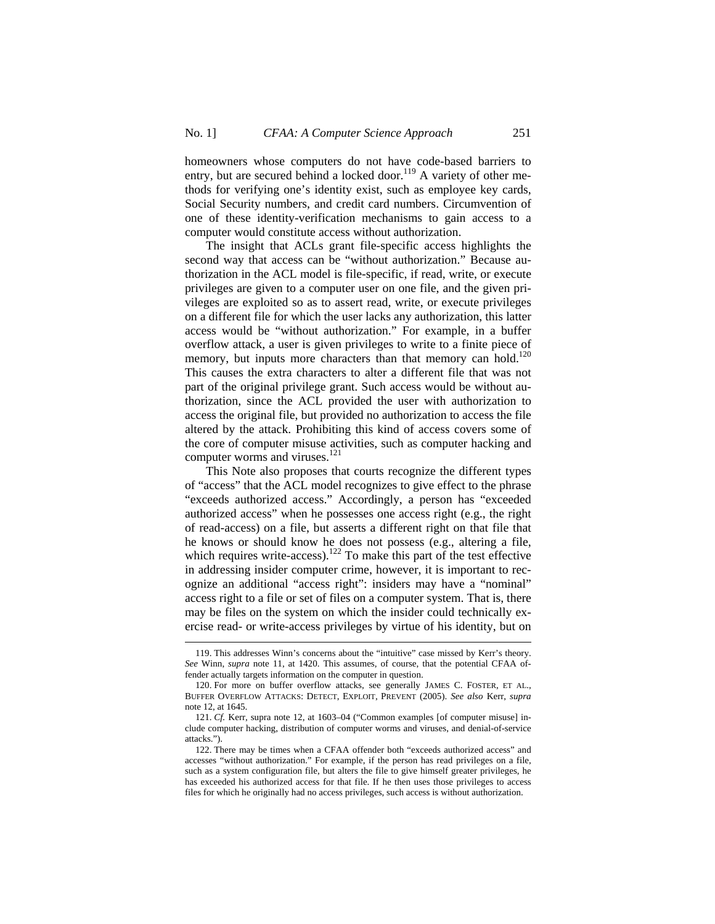homeowners whose computers do not have code-based barriers to entry, but are secured behind a locked door.<sup>119</sup> A variety of other methods for verifying one's identity exist, such as employee key cards, Social Security numbers, and credit card numbers. Circumvention of one of these identity-verification mechanisms to gain access to a computer would constitute access without authorization.

The insight that ACLs grant file-specific access highlights the second way that access can be "without authorization." Because authorization in the ACL model is file-specific, if read, write, or execute privileges are given to a computer user on one file, and the given privileges are exploited so as to assert read, write, or execute privileges on a different file for which the user lacks any authorization, this latter access would be "without authorization." For example, in a buffer overflow attack, a user is given privileges to write to a finite piece of memory, but inputs more characters than that memory can hold.<sup>120</sup> This causes the extra characters to alter a different file that was not part of the original privilege grant. Such access would be without authorization, since the ACL provided the user with authorization to access the original file, but provided no authorization to access the file altered by the attack. Prohibiting this kind of access covers some of the core of computer misuse activities, such as computer hacking and computer worms and viruses.<sup>121</sup>

This Note also proposes that courts recognize the different types of "access" that the ACL model recognizes to give effect to the phrase "exceeds authorized access." Accordingly, a person has "exceeded authorized access" when he possesses one access right (e.g., the right of read-access) on a file, but asserts a different right on that file that he knows or should know he does not possess (e.g., altering a file, which requires write-access).<sup>122</sup> To make this part of the test effective in addressing insider computer crime, however, it is important to recognize an additional "access right": insiders may have a "nominal" access right to a file or set of files on a computer system. That is, there may be files on the system on which the insider could technically exercise read- or write-access privileges by virtue of his identity, but on

<sup>119.</sup> This addresses Winn's concerns about the "intuitive" case missed by Kerr's theory. *See* Winn, *supra* note 11, at 1420. This assumes, of course, that the potential CFAA offender actually targets information on the computer in question.

<sup>120.</sup> For more on buffer overflow attacks, see generally JAMES C. FOSTER, ET AL., BUFFER OVERFLOW ATTACKS: DETECT, EXPLOIT, PREVENT (2005). *See also* Kerr, *supra*  note 12, at 1645.

<sup>121.</sup> *Cf.* Kerr, supra note 12, at 1603–04 ("Common examples [of computer misuse] include computer hacking, distribution of computer worms and viruses, and denial-of-service attacks.").

<sup>122.</sup> There may be times when a CFAA offender both "exceeds authorized access" and accesses "without authorization." For example, if the person has read privileges on a file, such as a system configuration file, but alters the file to give himself greater privileges, he has exceeded his authorized access for that file. If he then uses those privileges to access files for which he originally had no access privileges, such access is without authorization.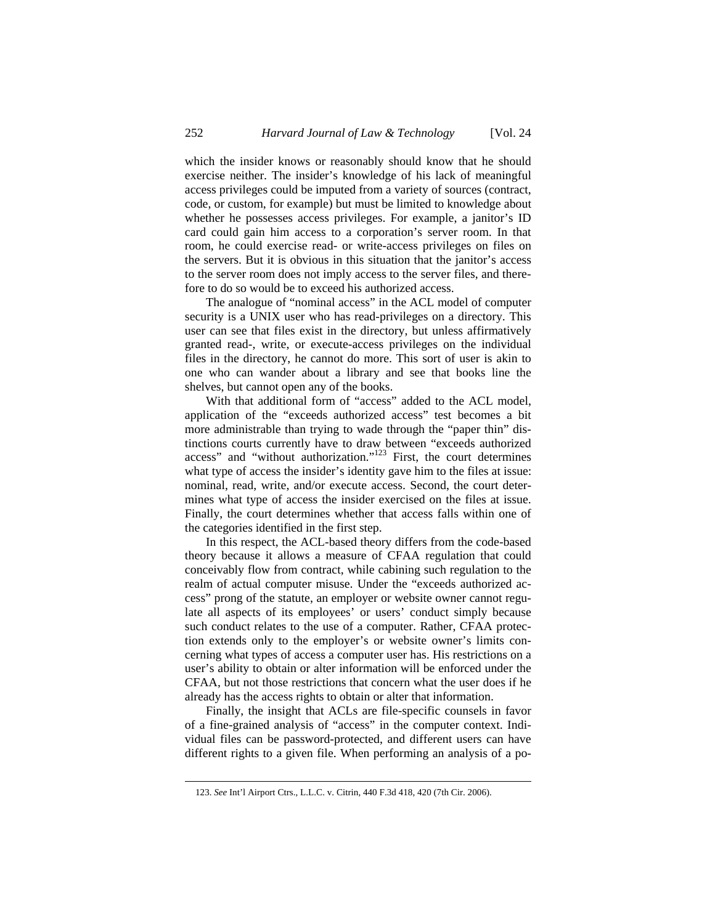which the insider knows or reasonably should know that he should exercise neither. The insider's knowledge of his lack of meaningful access privileges could be imputed from a variety of sources (contract, code, or custom, for example) but must be limited to knowledge about whether he possesses access privileges. For example, a janitor's ID card could gain him access to a corporation's server room. In that room, he could exercise read- or write-access privileges on files on the servers. But it is obvious in this situation that the janitor's access to the server room does not imply access to the server files, and therefore to do so would be to exceed his authorized access.

The analogue of "nominal access" in the ACL model of computer security is a UNIX user who has read-privileges on a directory. This user can see that files exist in the directory, but unless affirmatively granted read-, write, or execute-access privileges on the individual files in the directory, he cannot do more. This sort of user is akin to one who can wander about a library and see that books line the shelves, but cannot open any of the books.

With that additional form of "access" added to the ACL model, application of the "exceeds authorized access" test becomes a bit more administrable than trying to wade through the "paper thin" distinctions courts currently have to draw between "exceeds authorized access" and "without authorization."123 First, the court determines what type of access the insider's identity gave him to the files at issue: nominal, read, write, and/or execute access. Second, the court determines what type of access the insider exercised on the files at issue. Finally, the court determines whether that access falls within one of the categories identified in the first step.

In this respect, the ACL-based theory differs from the code-based theory because it allows a measure of CFAA regulation that could conceivably flow from contract, while cabining such regulation to the realm of actual computer misuse. Under the "exceeds authorized access" prong of the statute, an employer or website owner cannot regulate all aspects of its employees' or users' conduct simply because such conduct relates to the use of a computer. Rather, CFAA protection extends only to the employer's or website owner's limits concerning what types of access a computer user has. His restrictions on a user's ability to obtain or alter information will be enforced under the CFAA, but not those restrictions that concern what the user does if he already has the access rights to obtain or alter that information.

Finally, the insight that ACLs are file-specific counsels in favor of a fine-grained analysis of "access" in the computer context. Individual files can be password-protected, and different users can have different rights to a given file. When performing an analysis of a po-

<sup>123.</sup> *See* Int'l Airport Ctrs., L.L.C. v. Citrin, 440 F.3d 418, 420 (7th Cir. 2006).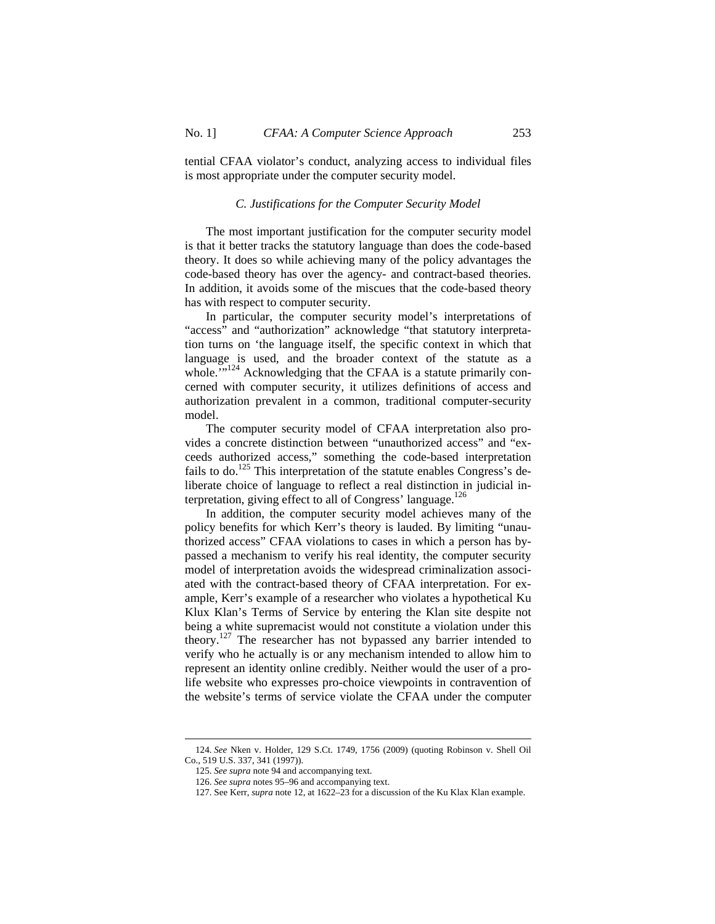tential CFAA violator's conduct, analyzing access to individual files is most appropriate under the computer security model.

#### *C. Justifications for the Computer Security Model*

The most important justification for the computer security model is that it better tracks the statutory language than does the code-based theory. It does so while achieving many of the policy advantages the code-based theory has over the agency- and contract-based theories. In addition, it avoids some of the miscues that the code-based theory has with respect to computer security.

In particular, the computer security model's interpretations of "access" and "authorization" acknowledge "that statutory interpretation turns on 'the language itself, the specific context in which that language is used, and the broader context of the statute as a whole."<sup>124</sup> Acknowledging that the CFAA is a statute primarily concerned with computer security, it utilizes definitions of access and authorization prevalent in a common, traditional computer-security model.

The computer security model of CFAA interpretation also provides a concrete distinction between "unauthorized access" and "exceeds authorized access," something the code-based interpretation fails to do.<sup>125</sup> This interpretation of the statute enables Congress's deliberate choice of language to reflect a real distinction in judicial interpretation, giving effect to all of Congress' language. $126$ 

In addition, the computer security model achieves many of the policy benefits for which Kerr's theory is lauded. By limiting "unauthorized access" CFAA violations to cases in which a person has bypassed a mechanism to verify his real identity, the computer security model of interpretation avoids the widespread criminalization associated with the contract-based theory of CFAA interpretation. For example, Kerr's example of a researcher who violates a hypothetical Ku Klux Klan's Terms of Service by entering the Klan site despite not being a white supremacist would not constitute a violation under this theory.<sup>127</sup> The researcher has not bypassed any barrier intended to verify who he actually is or any mechanism intended to allow him to represent an identity online credibly. Neither would the user of a prolife website who expresses pro-choice viewpoints in contravention of the website's terms of service violate the CFAA under the computer

<sup>124.</sup> *See* Nken v. Holder, 129 S.Ct. 1749, 1756 (2009) (quoting Robinson v. Shell Oil Co., 519 U.S. 337, 341 (1997)).

<sup>125.</sup> *See supra* note 94 and accompanying text.

<sup>126.</sup> *See supra* notes 95–96 and accompanying text.

<sup>127.</sup> See Kerr, *supra* note 12, at 1622–23 for a discussion of the Ku Klax Klan example.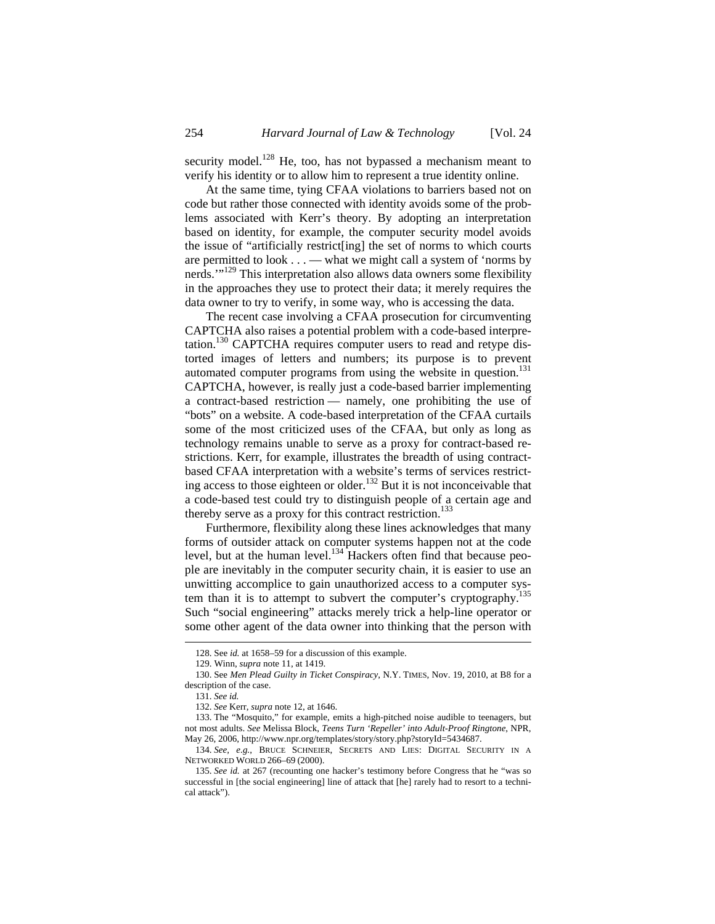security model.<sup>128</sup> He, too, has not bypassed a mechanism meant to verify his identity or to allow him to represent a true identity online.

At the same time, tying CFAA violations to barriers based not on code but rather those connected with identity avoids some of the problems associated with Kerr's theory. By adopting an interpretation based on identity, for example, the computer security model avoids the issue of "artificially restrict[ing] the set of norms to which courts are permitted to look . . . — what we might call a system of 'norms by nerds."<sup>129</sup> This interpretation also allows data owners some flexibility in the approaches they use to protect their data; it merely requires the data owner to try to verify, in some way, who is accessing the data.

The recent case involving a CFAA prosecution for circumventing CAPTCHA also raises a potential problem with a code-based interpretation.130 CAPTCHA requires computer users to read and retype distorted images of letters and numbers; its purpose is to prevent automated computer programs from using the website in question.<sup>131</sup> CAPTCHA, however, is really just a code-based barrier implementing a contract-based restriction — namely, one prohibiting the use of "bots" on a website. A code-based interpretation of the CFAA curtails some of the most criticized uses of the CFAA, but only as long as technology remains unable to serve as a proxy for contract-based restrictions. Kerr, for example, illustrates the breadth of using contractbased CFAA interpretation with a website's terms of services restricting access to those eighteen or older.<sup>132</sup> But it is not inconceivable that a code-based test could try to distinguish people of a certain age and thereby serve as a proxy for this contract restriction.<sup>133</sup>

Furthermore, flexibility along these lines acknowledges that many forms of outsider attack on computer systems happen not at the code level, but at the human level.<sup>134</sup> Hackers often find that because people are inevitably in the computer security chain, it is easier to use an unwitting accomplice to gain unauthorized access to a computer system than it is to attempt to subvert the computer's cryptography.<sup>135</sup> Such "social engineering" attacks merely trick a help-line operator or some other agent of the data owner into thinking that the person with

<sup>128.</sup> See *id.* at 1658–59 for a discussion of this example.

<sup>129.</sup> Winn, *supra* note 11, at 1419.

<sup>130.</sup> See *Men Plead Guilty in Ticket Conspiracy*, N.Y. TIMES, Nov. 19, 2010, at B8 for a description of the case.

<sup>131.</sup> *See id.* 

<sup>132.</sup> *See* Kerr, *supra* note 12, at 1646.

<sup>133.</sup> The "Mosquito," for example, emits a high-pitched noise audible to teenagers, but not most adults. *See* Melissa Block, *Teens Turn 'Repeller' into Adult-Proof Ringtone*, NPR, May 26, 2006, http://www.npr.org/templates/story/story.php?storyId=5434687.

<sup>134.</sup> *See, e.g.*, BRUCE SCHNEIER, SECRETS AND LIES: DIGITAL SECURITY IN A NETWORKED WORLD 266–69 (2000).

<sup>135.</sup> *See id.* at 267 (recounting one hacker's testimony before Congress that he "was so successful in [the social engineering] line of attack that [he] rarely had to resort to a technical attack").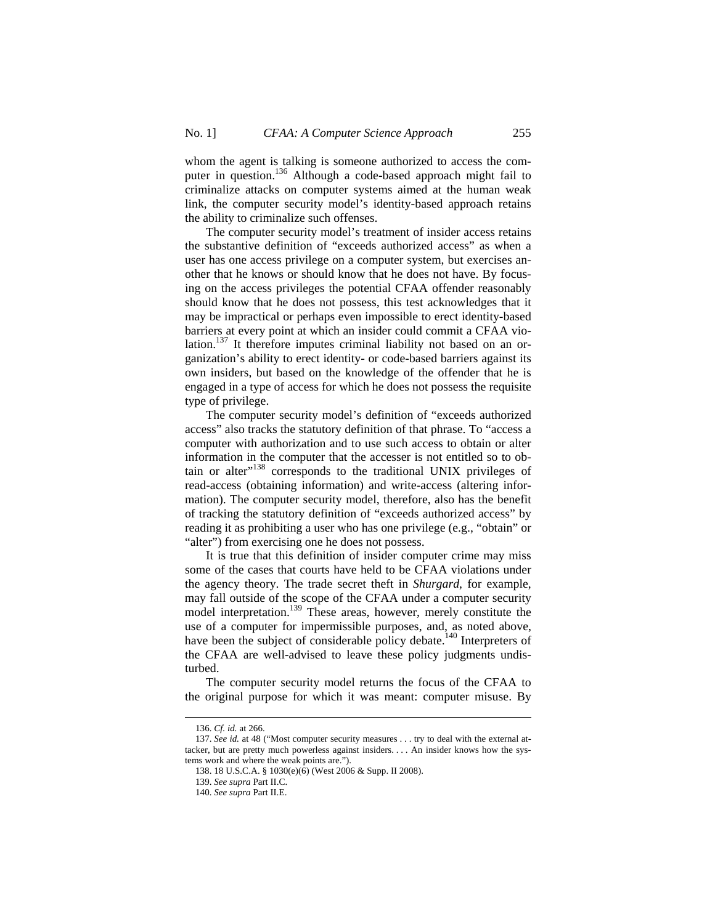whom the agent is talking is someone authorized to access the computer in question.<sup>136</sup> Although a code-based approach might fail to criminalize attacks on computer systems aimed at the human weak link, the computer security model's identity-based approach retains the ability to criminalize such offenses.

The computer security model's treatment of insider access retains the substantive definition of "exceeds authorized access" as when a user has one access privilege on a computer system, but exercises another that he knows or should know that he does not have. By focusing on the access privileges the potential CFAA offender reasonably should know that he does not possess, this test acknowledges that it may be impractical or perhaps even impossible to erect identity-based barriers at every point at which an insider could commit a CFAA violation.<sup>137</sup> It therefore imputes criminal liability not based on an organization's ability to erect identity- or code-based barriers against its own insiders, but based on the knowledge of the offender that he is engaged in a type of access for which he does not possess the requisite type of privilege.

The computer security model's definition of "exceeds authorized access" also tracks the statutory definition of that phrase. To "access a computer with authorization and to use such access to obtain or alter information in the computer that the accesser is not entitled so to obtain or alter"<sup>138</sup> corresponds to the traditional UNIX privileges of read-access (obtaining information) and write-access (altering information). The computer security model, therefore, also has the benefit of tracking the statutory definition of "exceeds authorized access" by reading it as prohibiting a user who has one privilege (e.g., "obtain" or "alter") from exercising one he does not possess.

It is true that this definition of insider computer crime may miss some of the cases that courts have held to be CFAA violations under the agency theory. The trade secret theft in *Shurgard*, for example, may fall outside of the scope of the CFAA under a computer security model interpretation.<sup>139</sup> These areas, however, merely constitute the use of a computer for impermissible purposes, and, as noted above, have been the subject of considerable policy debate.<sup>140</sup> Interpreters of the CFAA are well-advised to leave these policy judgments undisturbed.

The computer security model returns the focus of the CFAA to the original purpose for which it was meant: computer misuse. By

<sup>136.</sup> *Cf. id.* at 266.

<sup>137.</sup> *See id.* at 48 ("Most computer security measures . . . try to deal with the external attacker, but are pretty much powerless against insiders. . . . An insider knows how the systems work and where the weak points are.").

<sup>138. 18</sup> U.S.C.A. § 1030(e)(6) (West 2006 & Supp. II 2008).

<sup>139.</sup> *See supra* Part II.C.

<sup>140.</sup> *See supra* Part II.E.